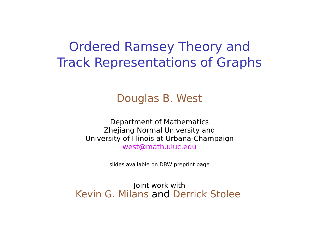# Ordered Ramsey Theory and Track Representations of Graphs

#### Douglas B. West

Department of Mathematics Zhejiang Normal University and University of Illinois at Urbana-Champaign west@math.uiuc.edu

slides available on DBW preprint page

Joint work with Kevin G. Milans and Derrick Stolee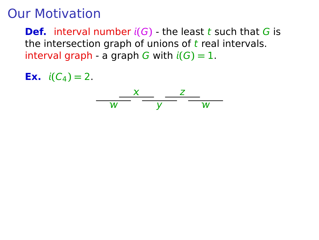## Our Motivation

**Def.** interval number  $i(G)$  - the least t such that G is the intersection graph of unions of  $t$  real intervals. interval graph - a graph G with  $i(G) = 1$ .

**Ex.**  $i(C_4) = 2$ .

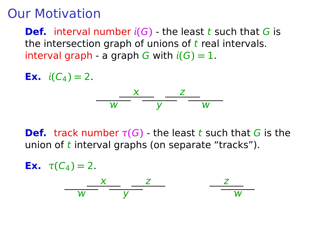#### Our Motivation

**Def.** interval number  $i(G)$  - the least t such that G is the intersection graph of unions of  $t$  real intervals. interval graph - a graph G with  $i(G) = 1$ .

**Ex.**  $i(C_4) = 2$ .



**Def.** track number  $\tau(G)$  - the least t such that G is the union of  $t$  interval graphs (on separate "tracks").

**Ex.**  $\tau(C_4) = 2$ .  $\overline{w}$   $\overline{y}$   $\overline{w}$  $\frac{X}{Z}$   $\frac{Z}{Z}$   $\frac{Z}{Z}$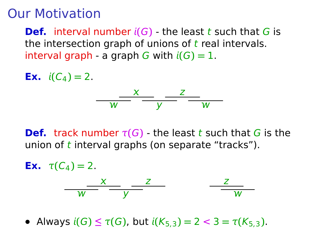#### Our Motivation

**Def.** interval number  $i(G)$  - the least t such that G is the intersection graph of unions of  $t$  real intervals. interval graph - a graph G with  $i(G) = 1$ .

**Ex.**  $i(C_4) = 2$ .



**Def.** track number  $\tau(G)$  - the least t such that G is the union of  $t$  interval graphs (on separate "tracks").

**Ex.**  $\tau(C_4) = 2$ .  $\overline{w}$   $\overline{y}$   $\overline{w}$  $\frac{X}{Z}$   $\frac{Z}{Z}$   $\frac{Z}{Z}$ 

 $\bullet$  Always *i*(*G*) ≤ *τ*(*G*), but *i*(*K*<sub>5,3</sub>) = 2 < 3 = *τ*(*K*<sub>5,3</sub>).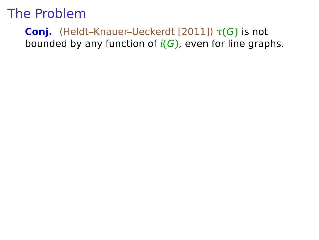#### **Conj.** (Heldt–Knauer–Ueckerdt [2011])  $\tau(G)$  is not bounded by any function of **(**G**)**, even for line graphs.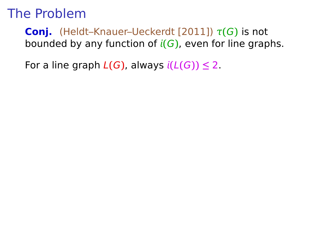**Conj.** (Heldt–Knauer–Ueckerdt [2011]) τ**(**G**)** is not bounded by any function of **(**G**)**, even for line graphs.

For a line graph  $L(G)$ , always  $i(L(G)) \leq 2$ .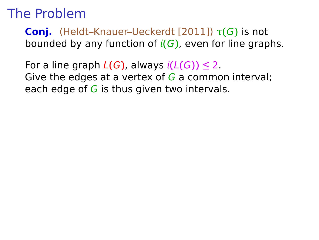**Conj.** (Heldt–Knauer–Ueckerdt [2011]) τ**(**G**)** is not bounded by any function of **(**G**)**, even for line graphs.

For a line graph  $L(G)$ , always  $i(L(G)) \leq 2$ . Give the edges at a vertex of  $G$  a common interval; each edge of  $G$  is thus given two intervals.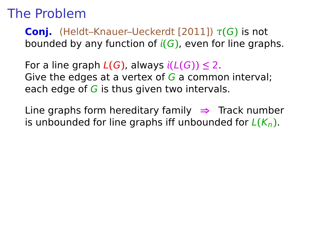**Conj.** (Heldt–Knauer–Ueckerdt [2011]) τ**(**G**)** is not bounded by any function of **(**G**)**, even for line graphs.

For a line graph  $L(G)$ , always  $i(L(G)) \leq 2$ . Give the edges at a vertex of  $G$  a common interval; each edge of  $G$  is thus given two intervals.

Line graphs form hereditary family **⇒** Track number is unbounded for line graphs iff unbounded for  $L(K_n)$ .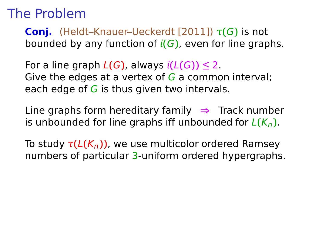**Conj.** (Heldt–Knauer–Ueckerdt [2011]) τ**(**G**)** is not bounded by any function of **(**G**)**, even for line graphs.

For a line graph  $L(G)$ , always  $i(L(G)) \leq 2$ . Give the edges at a vertex of  $G$  a common interval; each edge of  $G$  is thus given two intervals.

Line graphs form hereditary family **⇒** Track number is unbounded for line graphs iff unbounded for  $L(K_n)$ .

To study τ**(**L**(**Kn**))**, we use multicolor ordered Ramsey numbers of particular 3-uniform ordered hypergraphs.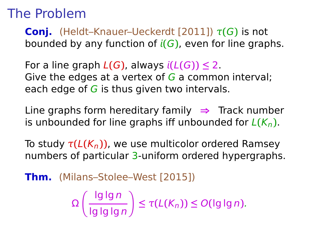**Conj.** (Heldt–Knauer–Ueckerdt [2011]) τ**(**G**)** is not bounded by any function of **(**G**)**, even for line graphs.

For a line graph  $L(G)$ , always  $i(L(G)) \leq 2$ . Give the edges at a vertex of  $G$  a common interval; each edge of  $G$  is thus given two intervals.

Line graphs form hereditary family **⇒** Track number is unbounded for line graphs iff unbounded for  $L(K_n)$ .

To study τ**(**L**(**Kn**))**, we use multicolor ordered Ramsey numbers of particular 3-uniform ordered hypergraphs.

**Thm.** (Milans–Stolee–West [2015])

$$
\Omega\left(\frac{\lg\lg n}{\lg\lg\lg n}\right)\leq \tau(L(K_n))\leq O(\lg\lg n).
$$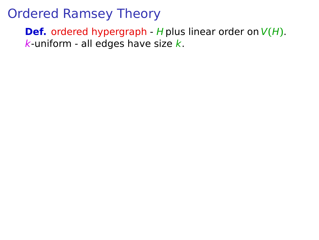**Def.** ordered hypergraph - H plus linear order on  $V(H)$ .  $k$ -uniform - all edges have size  $k$ .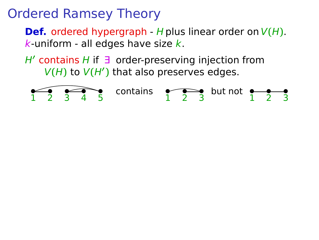**Def.** ordered hypergraph - H plus linear order on  $V(H)$ .  $k$ -uniform - all edges have size  $k$ .

H**′** contains H if ∃ order-preserving injection from V**(**H**)** to V**(**H**′ )** that also preserves edges.

$$
\underbrace{1 \quad 2 \quad 3 \quad 4 \quad 5}
$$
 contains 
$$
\underbrace{1 \quad 2 \quad 3}
$$
 but not 
$$
\underbrace{1 \quad 2 \quad 3}
$$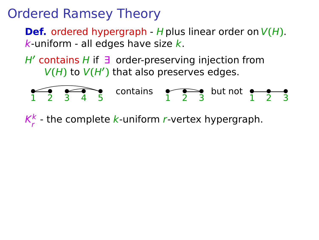**Def.** ordered hypergraph - H plus linear order on  $V(H)$ .  $k$ -uniform - all edges have size  $k$ .

H**′** contains H if ∃ order-preserving injection from V**(**H**)** to V**(**H**′ )** that also preserves edges.

$$
\begin{array}{|c|c|c|c|c|}\n\hline\n1 & 2 & 3 & 4 & 5\n\end{array}\n\text{ contains } \begin{array}{|c|c|c|c|c|}\n\hline\n1 & 2 & 3\n\end{array}\n\text{ but not } \begin{array}{|c|c|c|c|}\n\hline\n2 & 3 & 4\n\end{array}
$$

 $\mathsf{K}^{\mathsf{k}}_{\mathsf{r}}$  $\frac{\kappa}{r}$  - the complete  $k$ -uniform  $r$ -vertex hypergraph.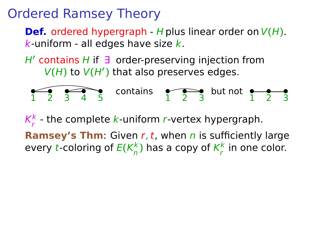**Def.** ordered hypergraph - H plus linear order on  $V(H)$ .  $k$ -uniform - all edges have size  $k$ .

H**′** contains H if ∃ order-preserving injection from V**(**H**)** to V**(**H**′ )** that also preserves edges.

$$
\begin{array}{|c|c|c|c|c|}\n\hline\n1 & 2 & 3 & 4 & 5\n\end{array}\n\text{ contains } \begin{array}{|c|c|c|c|c|}\n\hline\n1 & 2 & 3\n\end{array}\n\text{ but not } \begin{array}{|c|c|c|c|}\n\hline\n2 & 3 & 4\n\end{array}
$$

 $\mathsf{K}^{\mathsf{k}}_{\mathsf{r}}$  $\frac{\kappa}{r}$  - the complete  $k$ -uniform  $r$ -vertex hypergraph.

**Ramsey's Thm:** Given r, t, when n is sufficiently large every *t*-coloring of  $E(K_n^k)$  $\frac{k}{n}$ ) has a copy of  $K_r^k$  $\frac{k}{r}$  in one color.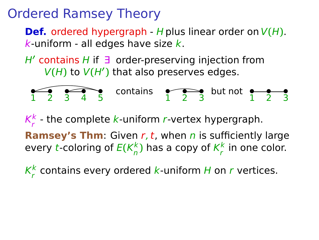**Def.** ordered hypergraph - H plus linear order on  $V(H)$ .  $k$ -uniform - all edges have size  $k$ .

H**′** contains H if ∃ order-preserving injection from V**(**H**)** to V**(**H**′ )** that also preserves edges.

$$
\begin{array}{|c|c|c|c|c|}\n\hline\n1 & 2 & 3 & 4 & 5\n\end{array}\n\text{ contains } \begin{array}{|c|c|c|c|c|}\n\hline\n1 & 2 & 3\n\end{array}\n\text{ but not }\begin{array}{|c|c|c|}\n\hline\n2 & 3 & 4\n\end{array}
$$

 $\mathsf{K}^{\mathsf{k}}_{\mathsf{r}}$  $\frac{\kappa}{r}$  - the complete  $k$ -uniform  $r$ -vertex hypergraph.

**Ramsey's Thm:** Given r, t, when n is sufficiently large every *t*-coloring of  $E(K_n^k)$  $\frac{k}{n}$ ) has a copy of  $K_r^k$  $\frac{k}{r}$  in one color.

 $\mathsf{K}^{\mathsf{k}}_{\mathsf{r}}$  $\frac{k}{r}$  contains every ordered  $k$ -uniform H on  $r$  vertices.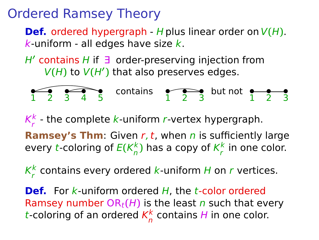**Def.** ordered hypergraph - H plus linear order on  $V(H)$ .  $k$ -uniform - all edges have size  $k$ .

H**′** contains H if ∃ order-preserving injection from V**(**H**)** to V**(**H**′ )** that also preserves edges.

$$
\begin{array}{|c|c|c|c|c|}\n\hline\n1 & 2 & 3 & 4 & 5\n\end{array}\n\text{ contains } \begin{array}{|c|c|c|c|c|}\n\hline\n1 & 2 & 3\n\end{array}\n\text{ but not }\begin{array}{|c|c|c|}\n\hline\n2 & 3 & 4\n\end{array}
$$

 $\mathsf{K}^{\mathsf{k}}_{\mathsf{r}}$  $\frac{\kappa}{r}$  - the complete  $k$ -uniform  $r$ -vertex hypergraph.

**Ramsey's Thm:** Given r, t, when n is sufficiently large every *t*-coloring of  $E(K_n^k)$  $\frac{k}{n}$ ) has a copy of  $K_r^k$  $\frac{k}{r}$  in one color.

 $\mathsf{K}^{\mathsf{k}}_{\mathsf{r}}$  $\frac{k}{r}$  contains every ordered  $k$ -uniform H on  $r$  vertices.

**Def.** For k-uniform ordered H, the t-color ordered Ramsey number  $OR_t(H)$  is the least n such that every t-coloring of an ordered  $K_n^k$  $\frac{\kappa}{n}$  contains H in one color.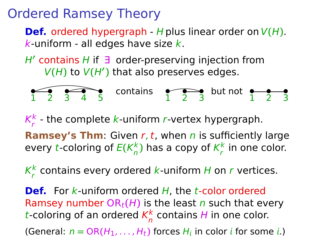**Def.** ordered hypergraph - H plus linear order on  $V(H)$ .  $k$ -uniform - all edges have size  $k$ .

H**′** contains H if ∃ order-preserving injection from V**(**H**)** to V**(**H**′ )** that also preserves edges.

$$
\begin{array}{|c|c|c|c|c|}\n\hline\n1 & 2 & 3 & 4 & 5\n\end{array}\n\text{ contains } \begin{array}{|c|c|c|c|c|}\n\hline\n1 & 2 & 3\n\end{array}\n\text{ but not } \begin{array}{|c|c|c|c|}\n\hline\n2 & 3 & 4\n\end{array}
$$

 $\mathsf{K}^{\mathsf{k}}_{\mathsf{r}}$  $\frac{\kappa}{r}$  - the complete  $k$ -uniform  $r$ -vertex hypergraph.

**Ramsey's Thm:** Given r, t, when n is sufficiently large every *t*-coloring of  $E(K_n^k)$  $\frac{k}{n}$ ) has a copy of  $K_r^k$  $\frac{k}{r}$  in one color.

 $\mathsf{K}^{\mathsf{k}}_{\mathsf{r}}$  $\frac{k}{r}$  contains every ordered  $k$ -uniform H on  $r$  vertices.

**Def.** For k-uniform ordered H, the t-color ordered Ramsey number  $OR_t(H)$  is the least n such that every t-coloring of an ordered  $K_n^k$  $\frac{\kappa}{n}$  contains H in one color. (General:  $n = OR(H_1, ..., H_t)$  forces  $H_i$  in color *i* for some *i*.)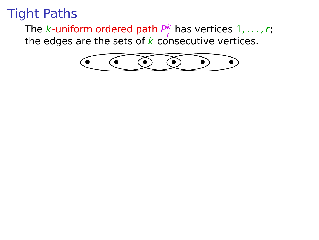The k-uniform ordered path  $P_r^k$  $\frac{k}{r}$  has vertices  $1, \ldots, r;$ the edges are the sets of  $\bm{k}$  consecutive vertices.

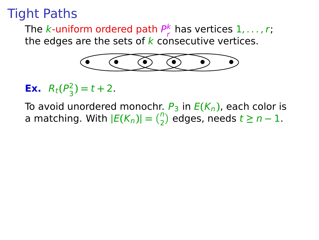The k-uniform ordered path  $P_r^k$  $\frac{k}{r}$  has vertices  $1, \ldots, r;$ the edges are the sets of  $k$  consecutive vertices.



**Ex.**  $R_t(P_3^2)$  $\binom{2}{3}$  = t + 2.

To avoid unordered monochr.  $P_3$  in  $E(K_n)$ , each color is a matching. With  $|E(K_n)| = {n \choose 2}$  edges, needs  $t \ge n - 1$ .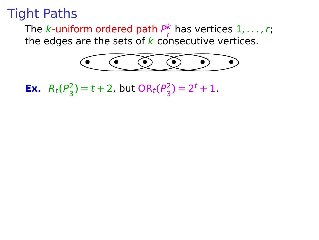The k-uniform ordered path  $P_r^k$  $\frac{k}{r}$  has vertices  $1, \ldots, r;$ the edges are the sets of  $\bm{k}$  consecutive vertices.



**Ex.**  $R_t(P_3^2)$  $\binom{2}{3}$  = t + 2, but OR<sub>t</sub>( $P_3^2$ )  $\binom{2}{3}$  = 2<sup>t</sup> + 1.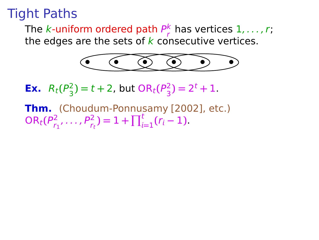The  $k$ -uniform ordered path  $P_{r}^{k}$  has vertices  $1,\ldots$  , r; the edges are the sets of  $k$  consecutive vertices.



**Ex.**  $R_t(P_3^2)$  $\binom{2}{3}$  = t + 2, but OR<sub>t</sub>( $P_3^2$ )  $\binom{2}{3}$  = 2<sup>t</sup> + 1.

**Thm.** (Choudum-Ponnusamy [2002], etc.)  $OR_t(P^2_{r^2})$  $P_{r_1}^2, \ldots, P_{r_t}^2$  = 1 +  $\prod_{i=1}^t (r_i - 1)$ .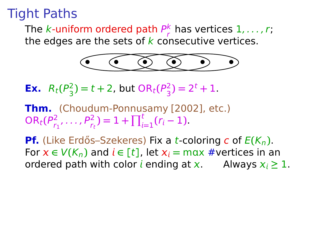The  $k$ -uniform ordered path  $P_{r}^{k}$  has vertices  $1,\ldots$  , r; the edges are the sets of  $k$  consecutive vertices.



**Ex.**  $R_t(P_3^2)$  $\binom{2}{3}$  = t + 2, but OR<sub>t</sub>( $P_3^2$ )  $\binom{2}{3}$  = 2<sup>t</sup> + 1.

**Thm.** (Choudum-Ponnusamy [2002], etc.)  $OR_t(P^2_{r^2})$  $P_{r_1}^2, \ldots, P_{r_t}^2$  = 1 +  $\prod_{i=1}^t (r_i - 1)$ .

**Pf.** (Like Erdős–Szekeres) Fix a *t*-coloring *c* of  $E(K_n)$ . For  $x \in V(K_n)$  and  $i \in [t]$ , let  $x_i = \max \#$  vertices in an ordered path with color *i* ending at x. Always  $x_i \geq 1$ .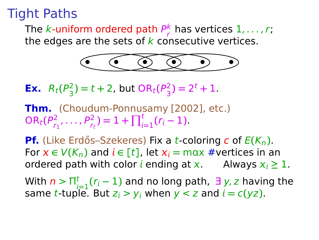The  $k$ -uniform ordered path  $P_{r}^{k}$  has vertices  $1,\ldots$  , r; the edges are the sets of  $k$  consecutive vertices.



**Ex.**  $R_t(P_3^2)$  $\binom{2}{3}$  = t + 2, but OR<sub>t</sub>( $P_3^2$ )  $\binom{2}{3}$  = 2<sup>t</sup> + 1.

**Thm.** (Choudum-Ponnusamy [2002], etc.)  $OR_t(P^2_{r^2})$  $P_{r_1}^2, \ldots, P_{r_t}^2$  = 1 +  $\prod_{i=1}^t (r_i - 1)$ .

**Pf.** (Like Erdős–Szekeres) Fix a *t*-coloring *c* of  $E(K_n)$ . For  $x \in V(K_n)$  and  $i \in [t]$ , let  $x_i = \max \#$ vertices in an ordered path with color *i* ending at x, Always  $x_i \ge 1$ . ordered path with color  $i$  ending at  $x$ . With  $n > \prod_{i=1}^t (r_i-1)$  and no long path,  $\exists y, z$  having the same *t*-tuple. But  $z_i > y_i$  when  $y < z$  and  $i = c(yz)$ .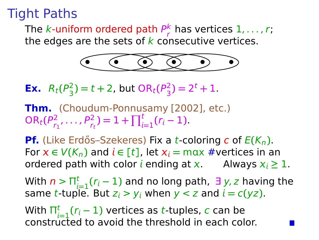The  $k$ -uniform ordered path  $P_{r}^{k}$  has vertices  $1,\ldots$  , r; the edges are the sets of  $k$  consecutive vertices.



**Ex.**  $R_t(P_3^2)$  $\binom{2}{3}$  = t + 2, but OR<sub>t</sub>( $P_3^2$ )  $\binom{2}{3}$  = 2<sup>t</sup> + 1.

**Thm.** (Choudum-Ponnusamy [2002], etc.)  $OR_t(P^2_{r^2})$  $P_{r_1}^2, \ldots, P_{r_t}^2$  = 1 +  $\prod_{i=1}^t (r_i - 1)$ .

**Pf.** (Like Erdős–Szekeres) Fix a *t*-coloring *c* of  $E(K_n)$ . For  $x \in V(K_n)$  and  $i \in [t]$ , let  $x_i = \max \#$ vertices in an ordered path with color *i* ending at x. Always  $x_i \ge 1$ . ordered path with color *i* ending at x.

With  $n > \prod_{i=1}^t (r_i - 1)$  and no long path,  $\exists y, z$  having the same *t*-tuple. But  $z_i > y_i$  when  $y < z$  and  $i = c(yz)$ .

With  $\Pi_{i=1}^{t} (r_i-1)$  vertices as t-tuples, c can be constructed to avoid the threshold in each color.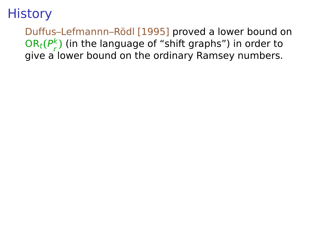Duffus–Lefmannn–Rödl [1995] proved a lower bound on  $OR_t(P_r^k)$ r **)** (in the language of "shift graphs") in order to give a lower bound on the ordinary Ramsey numbers.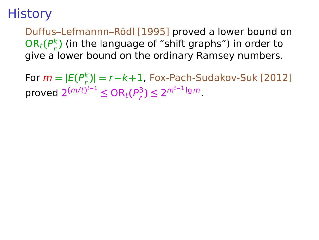Duffus–Lefmannn–Rödl [1995] proved a lower bound on  $OR_t(P_r^k)$ r **)** (in the language of "shift graphs") in order to give a lower bound on the ordinary Ramsey numbers.

For  $m = |E(P_r^k)$ r **)| =** r**−**k**+**1, Fox-Pach-Sudakov-Suk [2012]  $\mathsf{proved} \ 2^{(m/t)^{t-1}} \leq \mathsf{OR}_t(P_r^3)$  $\binom{3}{r}$  ≤ 2<sup>*m*t−1</sup>lg*m*.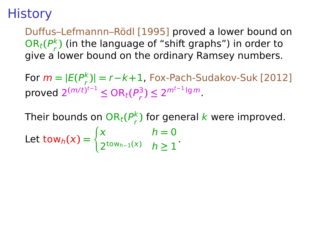Duffus–Lefmannn–Rödl [1995] proved a lower bound on  $OR_t(P_r^k)$ r **)** (in the language of "shift graphs") in order to give a lower bound on the ordinary Ramsey numbers.

For  $m = |E(P_r^k)$ r **)| =** r**−**k**+**1, Fox-Pach-Sudakov-Suk [2012]  $\mathsf{proved} \ 2^{(m/t)^{t-1}} \leq \mathsf{OR}_t(P_r^3)$  $\binom{3}{r}$  ≤ 2<sup>*m*t−1</sup>lg*m*.

Their bounds on  $\mathrm{OR}_t(P_r^k)$  $\frac{k}{r}$ ) for general  $k$  were improved. Let tow<sub>h</sub> $(x)$  =  $\int x$   $h = 0$ 2<sup>tow<sub>h−1</sub>(*x*)  $h \ge 1$ </sup>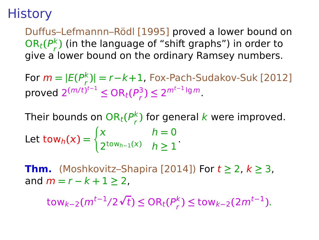Duffus–Lefmannn–Rödl [1995] proved a lower bound on  $OR_t(P_r^k)$ r **)** (in the language of "shift graphs") in order to give a lower bound on the ordinary Ramsey numbers.

 $\textsf{For } m = |E(P_r^k)| = r - k + 1$ , Fox-Pach-Sudakov-Suk [2012] r  $\mathsf{proved} \ 2^{(m/t)^{t-1}} \leq \mathsf{OR}_t(P_r^3)$  $\binom{3}{r}$  ≤ 2<sup>*m*t−1</sup>lg*m*.

Their bounds on  $\mathrm{OR}_t(P_r^k)$  $\frac{k}{r}$ ) for general  $k$  were improved. Let tow<sub>h</sub> $(x)$  =  $\int x$   $h = 0$ 2<sup>tow<sub>h−1</sub>(*x*)  $h \ge 1$ </sup>

**Thm.** (Moshkovitz–Shapira [2014]) For  $t \ge 2$ ,  $k \ge 3$ , and  $m = r - k + 1 \geq 2$ .

 $\tanctan(2\pi t)$  **c**  $\ln(t)$  **c**  $\ln(t)$  **c**  $\ln(t)$  **c**  $\ln(t)$  **c**  $\ln(t)$  **c**  $\ln(t)$  **c**  $\ln(t)$  **c**  $\ln(t)$  **c**  $\ln(t)$  **c**  $\ln(t)$  **c**  $\ln(t)$  **c**  $\ln(t)$  **c**  $\ln(t)$  **c**  $\ln(t)$  **c**  $\ln(t)$  **c**  $\ln(t)$  **c**  $\ln(t)$  **c**  $\ln(t)$  **c**  $\ln(t)$  $\binom{k}{r}$  ≤ tow<sub>k−2</sub>(2m<sup>t−1</sup>).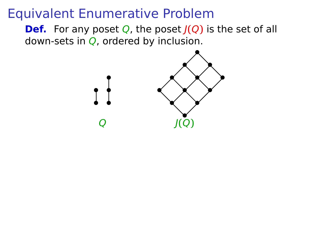**Def.** For any poset Q, the poset J**(**Q**)** is the set of all down-sets in  $Q$ , ordered by inclusion.

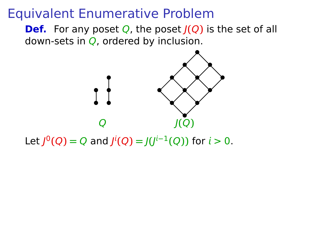**Def.** For any poset Q, the poset J**(**Q**)** is the set of all down-sets in  $Q$ , ordered by inclusion.



Let  $J^0(Q) = Q$  and  $J^i(Q) = J(J^{i-1}(Q))$  for  $i > 0$ .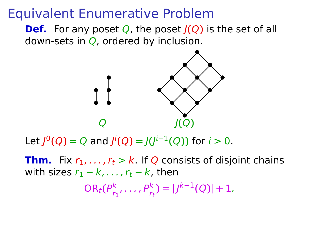**Def.** For any poset Q, the poset J**(**Q**)** is the set of all down-sets in  $Q$ , ordered by inclusion.



Let  $J^0(Q) = Q$  and  $J^i(Q) = J(J^{i-1}(Q))$  for  $i > 0$ .

**Thm.** Fix  $r_1, \ldots, r_t > k$ . If Q consists of disjoint chains with sizes  $r_1 - k, \ldots, r_t - k$ , then

> $\mathsf{OR}_t(P^k_{r_i})$  $P_{r_1}^k, \ldots, P_{r_t}^k$  =  $|J^{k-1}(Q)| + 1$ .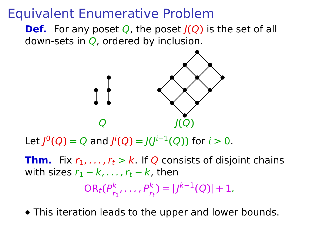**Def.** For any poset Q, the poset J**(**Q**)** is the set of all down-sets in  $Q$ , ordered by inclusion.



Let  $J^0(Q) = Q$  and  $J^i(Q) = J(J^{i-1}(Q))$  for  $i > 0$ .

**Thm.** Fix  $r_1, \ldots, r_t > k$ . If Q consists of disjoint chains with sizes  $r_1 - k, \ldots, r_t - k$ , then  $\mathsf{OR}_t(P^k_{r_i})$  $P_{r_1}^k, \ldots, P_{r_t}^k$  =  $|J^{k-1}(Q)| + 1$ .

**•** This iteration leads to the upper and lower bounds.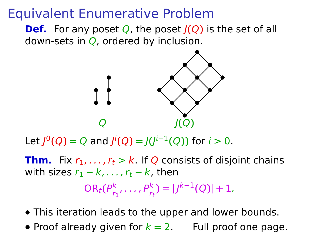**Def.** For any poset Q, the poset J**(**Q**)** is the set of all down-sets in  $Q$ , ordered by inclusion.



Let  $J^0(Q) = Q$  and  $J^i(Q) = J(J^{i-1}(Q))$  for  $i > 0$ .

**Thm.** Fix  $r_1, \ldots, r_t > k$ . If Q consists of disjoint chains with sizes  $r_1 - k, \ldots, r_t - k$ , then  $\mathsf{OR}_t(P^k_{r_i})$  $P_{r_1}^k, \ldots, P_{r_t}^k$  =  $|J^{k-1}(Q)| + 1$ .

- **•** This iteration leads to the upper and lower bounds.
- Proof already given for  $k = 2$ . Full proof one page.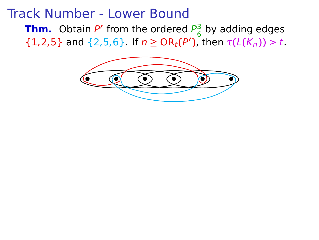#### Track Number - Lower Bound

**Thm.** Obtain P' from the ordered P<sub>6</sub>  $\frac{3}{6}$  by adding edges **(1,2,5)** and {2,5,6}. If  $n \ge OR_t(P')$ , then  $\tau(L(K_n)) > t$ .

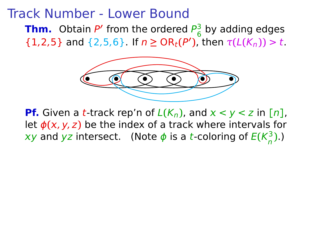#### Track Number - Lower Bound

**Thm.** Obtain P' from the ordered P<sub>6</sub> by adding edges  ${1,2,5}$  and {2,5,6}. If *n* ≥ OR<sub>*t*</sub>(*P*'), then  $τ(L(K_n)) > t$ .



**Pf.** Given a *t*-track rep'n of  $L(K_n)$ , and  $x < y < z$  in [n], let  $\phi(x, y, z)$  be the index of a track where intervals for xy and yz intersect. (Note  $\phi$  is a t-coloring of  $E(K^3_n)$ n **)**.)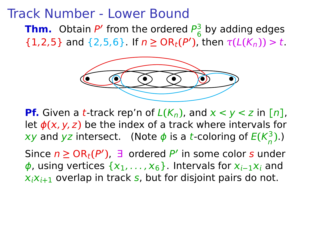#### Track Number - Lower Bound

**Thm.** Obtain P' from the ordered P<sub>6</sub>  $\frac{3}{6}$  by adding edges **(1,2,5)** and {2,5,6}. If  $n \ge OR_t(P')$ , then  $\tau(L(K_n)) > t$ .



**Pf.** Given a *t*-track rep'n of  $L(K_n)$ , and  $x < y < z$  in [n], let  $\phi(x, y, z)$  be the index of a track where intervals for xy and yz intersect. (Note  $\phi$  is a t-coloring of  $E(K^3_n)$ n **)**.)

Since  $n \geq OR_t(P')$ , ∃ ordered P' in some color s under *φ*, using vertices { $x_1, ..., x_6$ }. Intervals for  $x_{i-1}x_i$  and  $x_i x_{i+1}$  overlap in track s, but for disjoint pairs do not.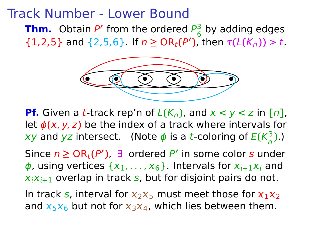#### Track Number - Lower Bound

**Thm.** Obtain P' from the ordered P<sub>6</sub>  $\frac{3}{6}$  by adding edges **(1,2,5)** and {2,5,6}. If  $n \ge OR_t(P')$ , then  $\tau(L(K_n)) > t$ .



**Pf.** Given a *t*-track rep'n of  $L(K_n)$ , and  $x < y < z$  in [n], let  $\phi(x, y, z)$  be the index of a track where intervals for xy and yz intersect. (Note  $\phi$  is a t-coloring of  $E(K^3_n)$ n **)**.)

Since  $n \geq OR_t(P')$ , ∃ ordered P' in some color s under *φ*, using vertices { $x_1, ..., x_6$ }. Intervals for  $x_{i-1}x_i$  and  $x_i x_{i+1}$  overlap in track s, but for disjoint pairs do not.

In track s, interval for  $x_2x_5$  must meet those for  $x_1x_2$ and  $x_5x_6$  but not for  $x_3x_4$ , which lies between them.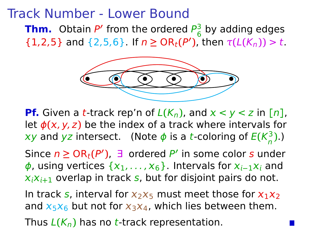#### Track Number - Lower Bound

**Thm.** Obtain P' from the ordered P<sub>6</sub> by adding edges  ${1,2,5}$  and {2,5,6}. If *n* ≥ OR<sub>*t*</sub>(*P*'), then  $τ(L(K_n)) > t$ .



**Pf.** Given a *t*-track rep'n of  $L(K_n)$ , and  $x < y < z$  in [n], let  $\phi(x, y, z)$  be the index of a track where intervals for xy and yz intersect. (Note  $\phi$  is a t-coloring of  $E(K^3_n)$ n **)**.)

Since  $n \geq OR_t(P')$ , ∃ ordered P' in some color s under *φ*, using vertices { $x_1, ..., x_6$ }. Intervals for  $x_{i-1}x_i$  and  $x_i x_{i+1}$  overlap in track s, but for disjoint pairs do not.

In track s, interval for  $x_2x_5$  must meet those for  $x_1x_2$ and  $x_5x_6$  but not for  $x_3x_4$ , which lies between them. Thus  $L(K_n)$  has no t-track representation.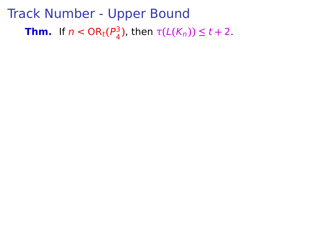#### Track Number - Upper Bound **Thm.** If  $n <$  OR $_t$ ( $P_4^3$  $\frac{3}{4}$ ), then  $\tau(L(K_n))$  ≤ t + 2.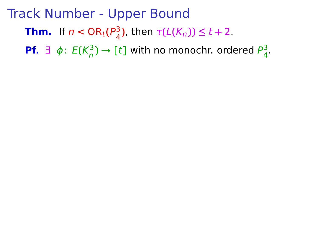**Thm.** If  $n <$  OR $_t$ ( $P_4^3$  $\frac{3}{4}$ ), then  $\tau(L(K_n))$  ≤ t + 2.

**Pf.** ∃ ϕ: E**(**K 3  $\binom{3}{n}$   $\rightarrow$  [t] with no monochr. ordered  $P_4^3$ 4 .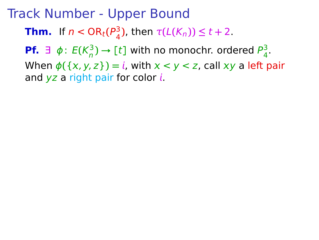**Thm.** If  $n <$  OR $_t$ ( $P_4^3$  $\frac{3}{4}$ ), then  $\tau(L(K_n))$  ≤ t + 2.

**Pf.** ∃ ϕ: E**(**K 3  $\binom{3}{n}$   $\rightarrow$  [t] with no monochr. ordered  $P_4^3$ 4 .

When  $\phi({x, y, z}) = i$ , with  $x < y < z$ , call  $xy$  a left pair and  $yz$  a right pair for color  $i$ .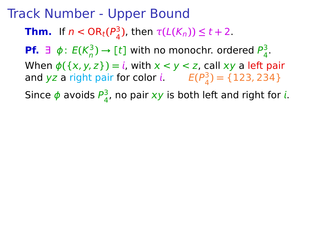**Thm.** If  $n <$  OR $_t$ ( $P_4^3$  $\frac{3}{4}$ ), then  $\tau(L(K_n))$  ≤ t + 2.

**Pf.** ∃ ϕ: E**(**K 3  $\binom{3}{n}$   $\rightarrow$  [t] with no monochr. ordered  $P_4^3$ 4 .

When  $\phi({x, y, z}) = i$ , with  $x < y < z$ , call xy a left pair and yz a right pair for color *i*.  $E(P_A^3)$  $_{4}^{3}$ ) = {123, 234}

Since  $\phi$  avoids  $P_A^3$  $\frac{3}{4}$ , no pair xy is both left and right for i.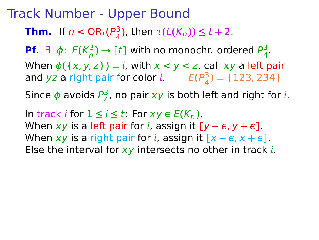**Thm.** If  $n <$  OR $_t$ ( $P_4^3$  $\frac{3}{4}$ ), then  $\tau(L(K_n))$  ≤ t + 2.

**Pf.** ∃ ϕ: E**(**K 3  $\binom{3}{n}$   $\rightarrow$  [t] with no monochr. ordered  $P_4^3$ 4 .

When  $\phi({x, y, z}) = i$ , with  $x < y < z$ , call xy a left pair and yz a right pair for color *i*.  $E(P_A^3)$  $_{4}^{3}$ ) = {123, 234}

Since  $\phi$  avoids  $P_A^3$  $\frac{3}{4}$ , no pair xy is both left and right for i.

In track *i* for  $1 ≤ i ≤ t$ : For  $xy ∈ E(K_n)$ , When  $xy$  is a left pair for *i*, assign it  $[y - \epsilon, y + \epsilon]$ . When  $xy$  is a right pair for *i*, assign it  $[x - \epsilon, x + \epsilon]$ . Else the interval for  $xy$  intersects no other in track i.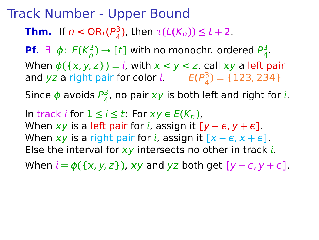**Thm.** If  $n <$  OR $_t$ ( $P_4^3$  $\frac{3}{4}$ ), then  $\tau(L(K_n))$  ≤ t + 2.

**Pf.** ∃ ϕ: E**(**K 3  $\binom{3}{n}$   $\rightarrow$  [t] with no monochr. ordered  $P_4^3$ 4 .

When  $\phi({x, y, z}) = i$ , with  $x < y < z$ , call xy a left pair and yz a right pair for color *i*.  $E(P_A^3)$  $_{4}^{3}$ ) = {123, 234}

Since  $\phi$  avoids  $P_A^3$  $\frac{3}{4}$ , no pair xy is both left and right for i.

 $\ln \text{track } i$  for  $1 ≤ i ≤ t$ : For  $xy ∈ E(K_n)$ , When  $xy$  is a left pair for *i*, assign it  $[y - \epsilon, y + \epsilon]$ . When  $xy$  is a right pair for *i*, assign it  $[x - \epsilon, x + \epsilon]$ . Else the interval for  $xy$  intersects no other in track i.

When  $i = \phi({x, y, z})$ , xy and yz both get  $[y - \epsilon, y + \epsilon]$ .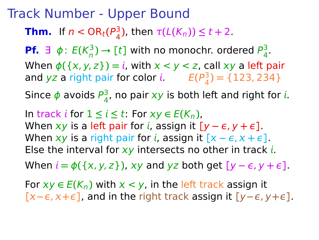**Thm.** If  $n <$  OR $_t$ ( $P_4^3$  $\frac{3}{4}$ ), then  $\tau(L(K_n))$  ≤ t + 2.

**Pf.** ∃ ϕ: E**(**K 3  $\binom{3}{n}$   $\rightarrow$  [t] with no monochr. ordered  $P_4^3$ 4 .

When  $\phi({x, y, z}) = i$ , with  $x < y < z$ , call xy a left pair and yz a right pair for color *i*.  $E(P_A^3)$  $_{4}^{3}$ ) = {123, 234}

Since  $\phi$  avoids  $P_A^3$  $\frac{3}{4}$ , no pair xy is both left and right for i.

In track *i* for  $1 ≤ i ≤ t$ : For  $xy ∈ E(K_n)$ , When  $xy$  is a left pair for *i*, assign it  $[y - \epsilon, y + \epsilon]$ . When  $xy$  is a right pair for *i*, assign it  $[x - \epsilon, x + \epsilon]$ . Else the interval for  $xy$  intersects no other in track i.

When  $i = \phi({x, y, z})$ , xy and yz both get  $[y - \epsilon, y + \epsilon]$ .

For  $xy \in E(K_n)$  with  $x \le y$ , in the left track assign it  $[x - \epsilon, x + \epsilon]$ , and in the right track assign it  $[y - \epsilon, y + \epsilon]$ .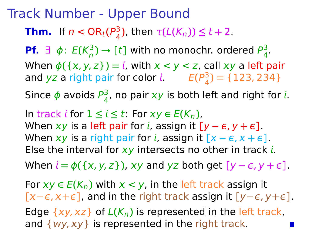**Thm.** If  $n <$  OR $_t$ ( $P_4^3$  $\frac{3}{4}$ ), then  $\tau(L(K_n))$  ≤ t + 2.

**Pf.** ∃ ϕ: E**(**K 3  $\binom{3}{n}$   $\rightarrow$  [t] with no monochr. ordered  $P_4^3$ 4 .

When  $\phi({x, y, z}) = i$ , with  $x < y < z$ , call xy a left pair and yz a right pair for color *i*.  $E(P_A^3)$  $_{4}^{3}$ ) = {123, 234}

Since  $\phi$  avoids  $P_A^3$  $\frac{3}{4}$ , no pair xy is both left and right for i.

In track *i* for  $1 ≤ i ≤ t$ : For  $xy ∈ E(K_n)$ , When  $xy$  is a left pair for *i*, assign it  $[y - \epsilon, y + \epsilon]$ . When  $xy$  is a right pair for *i*, assign it  $[x - \epsilon, x + \epsilon]$ . Else the interval for  $xy$  intersects no other in track i.

When  $i = \phi({x, y, z})$ , xy and yz both get  $[y - \epsilon, y + \epsilon]$ .

For  $xy \in E(K_n)$  with  $x \le y$ , in the left track assign it  $[x - \epsilon, x + \epsilon]$ , and in the right track assign it  $[y - \epsilon, y + \epsilon]$ .

Edge  $\{xy, xz\}$  of  $L(K_n)$  is represented in the left track, and  $\{wy, xy\}$  is represented in the right track.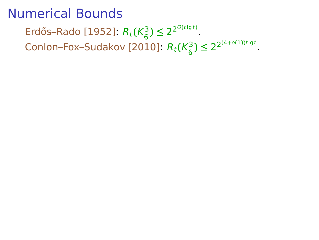Erdős–Rado [1952]:  $R_t$ ( $K_6^3$  $\binom{3}{6}$   $\leq 2^{2^{O(t\lg t)}}$ . Conlon–Fox–Sudakov [2010]:  $R_t(K_6^3)$  $\binom{3}{6}$   $\leq 2^{2(4+o(1))t\lg t}$ .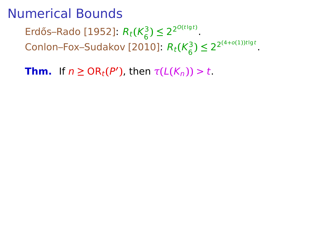Erdős–Rado [1952]:  $R_t$ ( $K_6^3$  $\binom{3}{6}$   $\leq 2^{2^{O(t\lg t)}}$ . Conlon–Fox–Sudakov [2010]:  $R_t(K_6^3)$  $\binom{3}{6}$   $\leq 2^{2(4+o(1))t\lg t}$ .

**Thm.** If  $n \geq OR_t(P')$ , then  $\tau(L(K_n)) > t$ .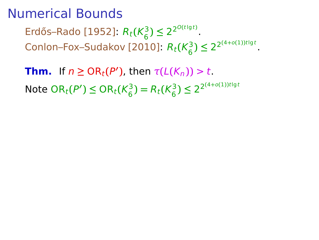Erdős–Rado [1952]:  $R_t$ ( $K_6^3$  $\binom{3}{6}$   $\leq 2^{2^{O(t\lg t)}}$ . Conlon–Fox–Sudakov [2010]:  $R_t(K_6^3)$  $\binom{3}{6}$   $\leq 2^{2(4+o(1))t\lg t}$ .

**Thm.** If  $n \geq OR_t(P')$ , then  $\tau(L(K_n)) > t$ .  $N$ ote  $OR_t(P') \le OR_t(K_6^3)$  $R_t(K_6^3) = R_t(K_6^3)$  $\binom{3}{6}$   $\leq 2^{2(4+o(1))t\lg t}$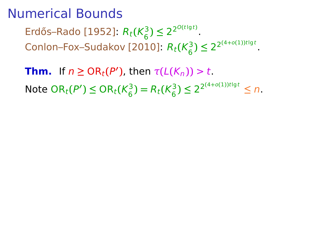Erdős–Rado [1952]:  $R_t$ ( $K_6^3$  $\binom{3}{6}$   $\leq 2^{2^{O(t\lg t)}}$ . Conlon–Fox–Sudakov [2010]:  $R_t(K_6^3)$  $\binom{3}{6}$   $\leq 2^{2(4+o(1))t\lg t}$ .

**Thm.** If  $n \geq OR_t(P')$ , then  $\tau(L(K_n)) > t$ .  $N$ ote  $OR_t(P') \le OR_t(K_6^3)$  $R_t(K_6^3) = R_t(K_6^3)$  $(3) \leq 2^{2^{(4+o(1))t\lg t}} \leq n.$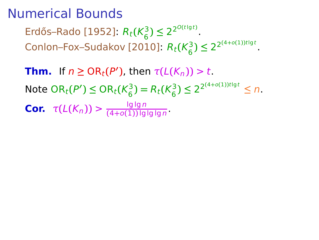Erdős–Rado [1952]:  $R_t$ ( $K_6^3$  $\binom{3}{6}$   $\leq 2^{2^{O(t\lg t)}}$ . Conlon–Fox–Sudakov [2010]:  $R_t(K_6^3)$  $\binom{3}{6}$   $\leq 2^{2(4+o(1))t\lg t}$ .

**Thm.** If  $n \geq OR_t(P')$ , then  $\tau(L(K_n)) > t$ .  $N$ ote  $OR_t(P') \le OR_t(K_6^3)$  $R_t(K_6^3) = R_t(K_6^3)$  $(3) \leq 2^{2^{(4+o(1))t\lg t}} \leq n.$ **Cor.**  $\tau(L(K_n)) > \frac{\lg \lg n}{(4+o(1))\lg n}$ **(**4**+**o**(**1**))** lglg lg n .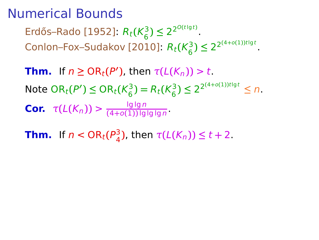Erdős–Rado [1952]:  $R_t$ ( $K_6^3$  $\binom{3}{6}$   $\leq 2^{2^{O(t\lg t)}}$ . Conlon–Fox–Sudakov [2010]:  $R_t(K_6^3)$  $\binom{3}{6}$   $\leq 2^{2(4+o(1))t\lg t}$ .

**Thm.** If  $n \geq OR_t(P')$ , then  $\tau(L(K_n)) > t$ .  $N$ ote  $OR_t(P') \le OR_t(K_6^3)$  $R_t(K_6^3) = R_t(K_6^3)$  $(3) \leq 2^{2^{(4+o(1))t\lg t}} \leq n.$ **Cor.**  $\tau(L(K_n)) > \frac{\lg \lg n}{(4+o(1))\lg n}$ **(**4**+**o**(**1**))** lglg lg n .

**Thm.** If  $n <$  OR<sub>t</sub>( $P_4^3$  $\frac{3}{4}$ ), then  $\tau$ (*L*(*K<sub>n</sub>*)) ≤ *t* + 2.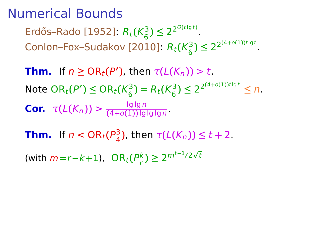Erdős–Rado [1952]:  $R_t$ ( $K_6^3$  $\binom{3}{6}$   $\leq 2^{2^{O(t\lg t)}}$ . Conlon–Fox–Sudakov [2010]:  $R_t(K_6^3)$  $\binom{3}{6}$   $\leq 2^{2(4+o(1))t\lg t}$ .

**Thm.** If  $n \geq OR_t(P')$ , then  $\tau(L(K_n)) > t$ .  $N$ ote  $OR_t(P') \le OR_t(K_6^3)$  $R_t(K_6^3) = R_t(K_6^3)$  $(3) \leq 2^{2^{(4+o(1))t\lg t}} \leq n.$ **Cor.**  $\tau(L(K_n)) > \frac{\lg \lg n}{(4+o(1))\lg n}$ **(**4**+**o**(**1**))** lglg lg n .

**Thm.** If  $n <$  OR<sub>t</sub>( $P_4^3$  $\frac{3}{4}$ ), then  $\tau$ (*L*(*K<sub>n</sub>*)) ≤ *t* + 2.

 $(mith m=r-k+1)$ ,  $OR_t(P_r^k)$  $\binom{k}{r}$  ≥ 2<sup>*m*t−1</sup>/2 $\sqrt{t}$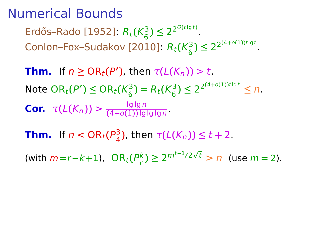Erdős–Rado [1952]:  $R_t$ ( $K_6^3$  $\binom{3}{6}$   $\leq 2^{2^{O(t\lg t)}}$ . Conlon–Fox–Sudakov [2010]:  $R_t(K_6^3)$  $\binom{3}{6}$   $\leq 2^{2(4+o(1))t\lg t}$ .

**Thm.** If  $n \geq OR_t(P')$ , then  $\tau(L(K_n)) > t$ .  $N$ ote  $OR_t(P') \le OR_t(K_6^3)$  $R_t(K_6^3) = R_t(K_6^3)$  $(3) \leq 2^{2^{(4+o(1))t\lg t}} \leq n.$ **Cor.**  $\tau(L(K_n)) > \frac{\lg \lg n}{(4+o(1))\lg n}$ **(**4**+**o**(**1**))** lglg lg n .

**Thm.** If  $n <$  OR<sub>t</sub>( $P_4^3$  $\frac{3}{4}$ ), then  $\tau$ (*L*(*K<sub>n</sub>*)) ≤ *t* + 2.

 $(mith m=r-k+1)$ ,  $OR_t(P_r^k)$  $\binom{k}{r}$  ≥ 2<sup>*m*t−1/2√t</sup> > *n* (use *m* = 2).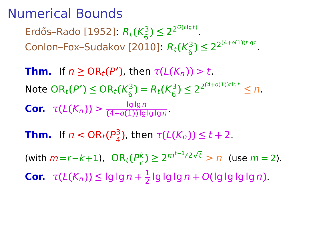Erdős–Rado [1952]:  $R_t$ ( $K_6^3$  $\binom{3}{6}$   $\leq 2^{2^{O(t\lg t)}}$ . Conlon–Fox–Sudakov [2010]:  $R_t(K_6^3)$  $\binom{3}{6}$   $\leq 2^{2(4+o(1))t\lg t}$ .

**Thm.** If  $n \geq OR_t(P')$ , then  $\tau(L(K_n)) > t$ .  $N$ ote  $OR_t(P') \le OR_t(K_6^3)$  $R_t(K_6^3) = R_t(K_6^3)$  $(3) \leq 2^{2^{(4+o(1))t\lg t}} \leq n.$ **Cor.**  $\tau(L(K_n)) > \frac{\lg \lg n}{(4+o(1))\lg n}$ **(**4**+**o**(**1**))** lglg lg n .

**Thm.** If  $n <$  OR<sub>t</sub>( $P_4^3$  $\frac{3}{4}$ ), then  $\tau$ (*L*(*K<sub>n</sub>*)) ≤ *t* + 2.

 $(mith m=r-k+1)$ ,  $OR_t(P_r^k)$  $\binom{k}{r}$  ≥ 2<sup>*m*t−1/2√t</sup> > *n* (use *m* = 2). **Cor.**  $\tau(L(K_n)) \leq \lg \lg n + \frac{1}{2}$  $\frac{1}{2}$  lg lg lg n + O(lg lg lg lg n).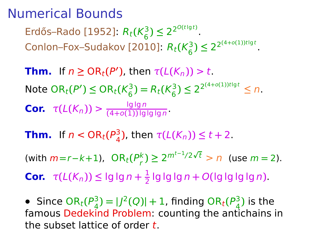Erdős–Rado [1952]:  $R_t$ ( $K_6^3$  $\binom{3}{6}$   $\leq 2^{2^{O(t\lg t)}}$ . Conlon–Fox–Sudakov [2010]:  $R_t(K_6^3)$  $\binom{3}{6}$   $\leq 2^{2(4+o(1))t\lg t}$ .

**Thm.** If  $n \geq OR_t(P')$ , then  $\tau(L(K_n)) > t$ .  $N$ ote  $OR_t(P') \le OR_t(K_6^3)$  $R_t(K_6^3) = R_t(K_6^3)$  $(3) \leq 2^{2^{(4+o(1))t\lg t}} \leq n.$ **Cor.**  $\tau(L(K_n)) > \frac{\lg \lg n}{(4+o(1))\lg n}$ **(**4**+**o**(**1**))** lglg lg n .

**Thm.** If  $n <$  OR<sub>t</sub>( $P_4^3$  $\frac{3}{4}$ ), then  $\tau$ (*L*(*K<sub>n</sub>*)) ≤ *t* + 2.

 $(mith m=r-k+1)$ ,  $OR_t(P_r^k)$  $\binom{k}{r}$  ≥ 2<sup>*m*t−1/2√t</sup> > *n* (use *m* = 2).

**Cor.**  $\tau(L(K_n)) \leq \lg \lg n + \frac{1}{2}$  $\frac{1}{2}$  lg lg lg n + O(lg lg lg lg n).

• Since  $OR_t(P_4^3)$  $\binom{3}{4}$  =  $\binom{1}{2}(Q)$  + 1, finding OR<sub>t</sub>( $\binom{P^3_A}{A}$  $\frac{3}{4}$ ) is the famous Dedekind Problem: counting the antichains in the subset lattice of order  $t$ .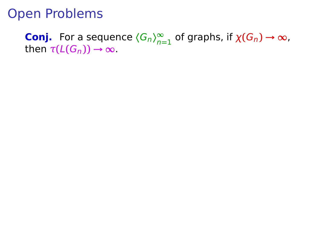**Conj.** For a sequence  $\langle G_n \rangle_{n=1}^{\infty}$  of graphs, if  $\chi(G_n) \to \infty$ , then  $\tau(L(G_n)) \to \infty$ .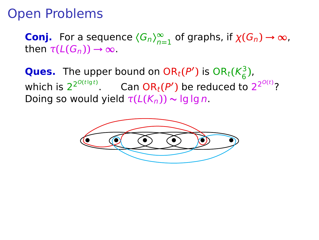**Conj.** For a sequence  $\langle G_n \rangle_{n=1}^{\infty}$  of graphs, if  $\chi(G_n) \to \infty$ , then  $\tau(L(G_n)) \rightarrow \infty$ .

**Ques.** The upper bound on  $OR_t(P')$  is  $OR_t(K^3_6)$ 6 **)**, which is  $2^{2^{O(t\lg t)}}$ . Can  $OR_t(P')$  be reduced to  $2^{2^{O(t)}}$ ? Doing so would yield  $\tau(L(K_n)) \sim \lg \lg n$ .

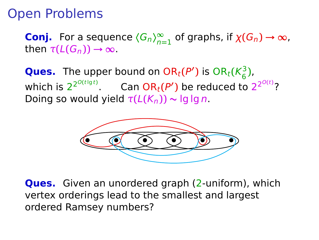**Conj.** For a sequence  $\langle G_n \rangle_{n=1}^{\infty}$  of graphs, if  $\chi(G_n) \to \infty$ , then  $\tau(L(G_n)) \rightarrow \infty$ .

**Ques.** The upper bound on  $OR_t(P')$  is  $OR_t(K^3_6)$ 6 **)**, which is  $2^{2^{O(t\lg t)}}$ . Can  $OR_t(P')$  be reduced to  $2^{2^{O(t)}}$ ? Doing so would yield  $\tau(L(K_n)) \sim \lg \lg n$ .



**Ques.** Given an unordered graph (2-uniform), which vertex orderings lead to the smallest and largest ordered Ramsey numbers?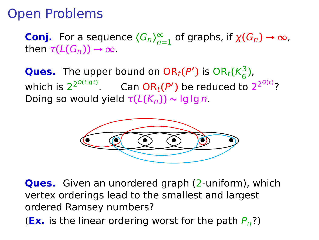**Conj.** For a sequence  $\langle G_n \rangle_{n=1}^{\infty}$  of graphs, if  $\chi(G_n) \to \infty$ , then  $\tau(L(G_n)) \rightarrow \infty$ .

**Ques.** The upper bound on  $OR_t(P')$  is  $OR_t(K^3_6)$ 6 **)**, which is  $2^{2^{O(t\lg t)}}$ . Can  $OR_t(P')$  be reduced to  $2^{2^{O(t)}}$ ? Doing so would yield  $\tau(L(K_n)) \sim \lg \lg n$ .



**Ques.** Given an unordered graph (2-uniform), which vertex orderings lead to the smallest and largest ordered Ramsey numbers? **(Ex.** is the linear ordering worst for the path  $P_n$ ?)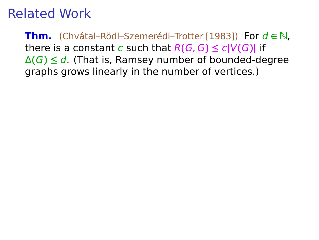**Thm.** (Chvátal–Rödl–Szemerédi–Trotter [1983]) For <sup>d</sup> **<sup>∈</sup>** <sup>N</sup>, there is a constant c such that  $R(G, G) \le c|V(G)|$  if Δ**(**G**) ≤** d. (That is, Ramsey number of bounded-degree graphs grows linearly in the number of vertices.)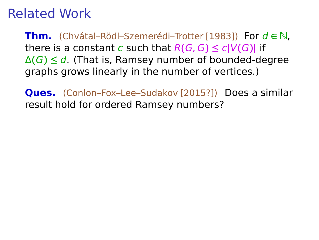**Thm.** (Chvátal–Rödl–Szemerédi–Trotter [1983]) For <sup>d</sup> **<sup>∈</sup>** <sup>N</sup>, there is a constant c such that  $R(G, G) \le c|V(G)|$  if Δ**(**G**) ≤** d. (That is, Ramsey number of bounded-degree graphs grows linearly in the number of vertices.)

**Ques.** (Conlon–Fox–Lee–Sudakov [2015?]) Does a similar result hold for ordered Ramsey numbers?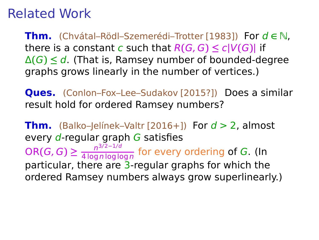**Thm.** (Chvátal–Rödl–Szemerédi–Trotter [1983]) For <sup>d</sup> **<sup>∈</sup>** <sup>N</sup>, there is a constant c such that  $R(G, G) \le c|V(G)|$  if Δ**(**G**) ≤** d. (That is, Ramsey number of bounded-degree graphs grows linearly in the number of vertices.)

**Ques.** (Conlon–Fox–Lee–Sudakov [2015?]) Does a similar result hold for ordered Ramsey numbers?

**Thm.** (Balko–Jelínek–Valtr [2016+]) For  $d > 2$ , almost every d-regular graph G satisfies  $OR(G, G) \geq \frac{n^{3/2 - 1/d}}{4 \log n \log \log n}$  $\frac{n}{4 \log n \log \log n}$  for every ordering of G. (In particular, there are 3-regular graphs for which the ordered Ramsey numbers always grow superlinearly.)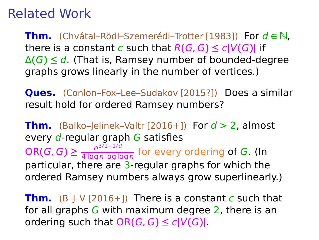**Thm.** (Chvátal–Rödl–Szemerédi–Trotter [1983]) For <sup>d</sup> **<sup>∈</sup>** <sup>N</sup>, there is a constant c such that  $R(G, G) \le c|V(G)|$  if Δ**(**G**) ≤** d. (That is, Ramsey number of bounded-degree graphs grows linearly in the number of vertices.)

**Ques.** (Conlon–Fox–Lee–Sudakov [2015?]) Does a similar result hold for ordered Ramsey numbers?

**Thm.** (Balko–Jelínek–Valtr  $[2016+]$ ) For  $d > 2$ , almost every  $d$ -regular graph  $G$  satisfies  $OR(G, G) \geq \frac{n^{3/2 - 1/d}}{4 \log n \log \log n}$  $\frac{n}{4 \log n \log \log n}$  for every ordering of G. (In particular, there are 3-regular graphs for which the ordered Ramsey numbers always grow superlinearly.)

**Thm.**  $(B-|-V[2016+])$  There is a constant c such that for all graphs  $G$  with maximum degree 2, there is an  $\text{ordering such that } OR(G, G) \leq c|V(G)|$ .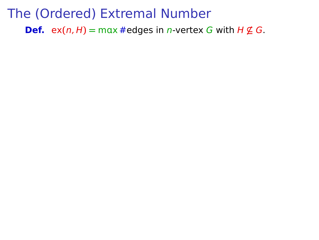**Def.** ex $(n, H) = \max \#$  edges in *n*-vertex *G* with  $H \not\subseteq G$ .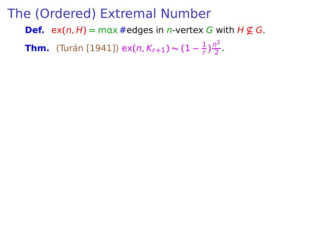**Def.** ex $(n, H) = \max \#$  edges in *n*-vertex G with  $H \not\subseteq G$ .

**Thm.** (Turán [1941]) ex $(n, K_{r+1}) \sim (1 - \frac{1}{r})$  $\frac{1}{r}$ ) $\frac{n^2}{2}$  $rac{1}{2}$ .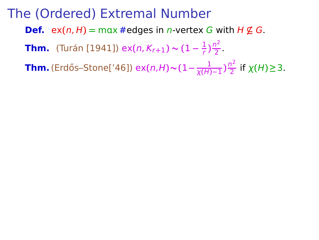**Def.** ex $(n, H) = \max \#$  edges in *n*-vertex G with  $H \not\subseteq G$ .

**Thm.** (Turán [1941]) ex $(n, K_{r+1}) \sim (1 - \frac{1}{r})$  $\frac{1}{r}$ ) $\frac{n^2}{2}$  $rac{1}{2}$ .

 $\frac{1}{\chi(H)}$  (Erdős–Stone['46]) ex $(n, H)$ ~ $(1 - \frac{1}{\chi(H)})$  $\frac{1}{\chi(H)-1}$ ) $\frac{n^2}{2}$ 2 if χ**(**H**)≥**3.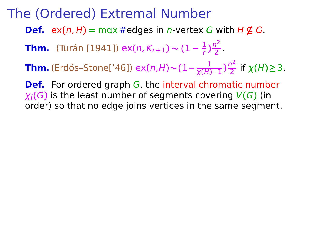- **Def.** ex $(n, H) = \max \#$  edges in *n*-vertex G with  $H \nsubseteq G$ .
- **Thm.** (Turán [1941]) ex $(n, K_{r+1}) \sim (1 \frac{1}{r})$  $\frac{1}{r}$ ) $\frac{n^2}{2}$  $rac{1}{2}$ .
- $\frac{1}{\chi(H)}$  (Erdős–Stone['46]) ex $(n, H)$ ~ $(1 \frac{1}{\chi(H)})$  $\frac{1}{\chi(H)-1}$ ) $\frac{n^2}{2}$ 2 if χ**(**H**)≥**3.

**Def.** For ordered graph G, the interval chromatic number  $\chi_i(G)$  is the least number of segments covering  $V(G)$  (in order) so that no edge joins vertices in the same segment.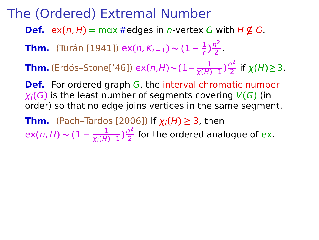**Def.** ex $(n, H) = \max \#$  edges in *n*-vertex G with  $H \nsubseteq G$ .

**Thm.** (Turán [1941]) ex $(n, K_{r+1}) \sim (1 - \frac{1}{r})$  $\frac{1}{r}$ ) $\frac{n^2}{2}$  $rac{1}{2}$ .

 $\frac{1}{\chi(H)}$  (Erdős–Stone['46]) ex $(n, H)$ ~ $(1 - \frac{1}{\chi(H)})$  $\frac{1}{\chi(H)-1}$ ) $\frac{n^2}{2}$ 2 if χ**(**H**)≥**3.

**Def.** For ordered graph G, the interval chromatic number  $\chi_i(G)$  is the least number of segments covering  $V(G)$  (in order) so that no edge joins vertices in the same segment.

**Thm.** (Pach–Tardos [2006]) If  $\chi_i(H) \geq 3$ , then ex**(**n, H**) ∼ (**1 **−** 1  $\frac{1}{\chi_i(H)-1}$ ) $\frac{n^2}{2}$  $\frac{7}{2}$  for the ordered analogue of ex.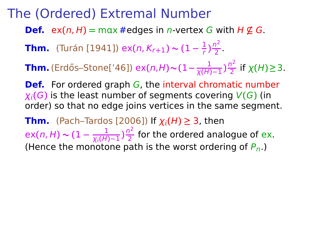**Def.** ex $(n, H) = \max \#$  edges in *n*-vertex G with  $H \nsubseteq G$ .

**Thm.** (Turán [1941]) ex $(n, K_{r+1}) \sim (1 - \frac{1}{r})$  $\frac{1}{r}$ ) $\frac{n^2}{2}$  $rac{1}{2}$ .

 $\frac{1}{\chi(H)}$  (Erdős–Stone['46]) ex $(n, H)$ ~ $(1 - \frac{1}{\chi(H)})$  $\frac{1}{\chi(H)-1}$ ) $\frac{n^2}{2}$ 2 if χ**(**H**)≥**3.

**Def.** For ordered graph G, the interval chromatic number  $\chi_i(G)$  is the least number of segments covering  $V(G)$  (in order) so that no edge joins vertices in the same segment.

**Thm.** (Pach–Tardos [2006]) If  $\chi_i(H) \geq 3$ , then ex**(**n, H**) ∼ (**1 **−** 1  $\frac{1}{\chi_i(H)-1}$ )  $\frac{n^2}{2}$  $\frac{7}{2}$  for the ordered analogue of ex. (Hence the monotone path is the worst ordering of  $P_n$ .)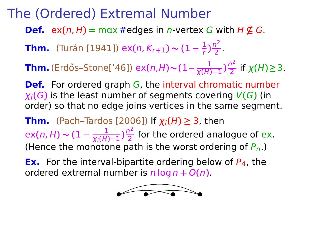**Def.** ex $(n, H) = \max \#$  edges in *n*-vertex G with  $H \nsubseteq G$ .

**Thm.** (Turán [1941]) ex $(n, K_{r+1}) \sim (1 - \frac{1}{r})$  $\frac{1}{r}$ ) $\frac{n^2}{2}$  $rac{1}{2}$ .

 $\frac{1}{\chi(H)}$  (Erdős–Stone['46]) ex $(n, H)$ ~ $(1 - \frac{1}{\chi(H)})$  $\frac{1}{\chi(H)-1}$ ) $\frac{n^2}{2}$ 2 if χ**(**H**)≥**3.

**Def.** For ordered graph G, the interval chromatic number  $\chi_i(G)$  is the least number of segments covering  $V(G)$  (in order) so that no edge joins vertices in the same segment.

**Thm.** (Pach–Tardos [2006]) If  $\chi_i(H) \geq 3$ , then ex**(**n, H**) ∼ (**1 **−** 1  $\frac{1}{\chi_i(H)-1}$ )  $\frac{n^2}{2}$  $\frac{7}{2}$  for the ordered analogue of ex. (Hence the monotone path is the worst ordering of  $P_n$ .)

**Ex.** For the interval-bipartite ordering below of  $P_4$ , the ordered extremal number is  $n \log n + O(n)$ .

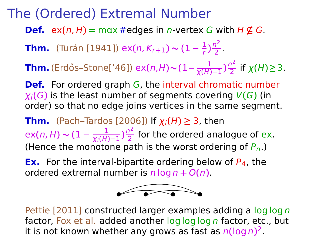**Def.** ex $(n, H) = \max \#$  edges in *n*-vertex G with  $H \nsubseteq G$ .

**Thm.** (Turán [1941]) ex $(n, K_{r+1}) \sim (1 - \frac{1}{r})$  $\frac{1}{r}$ ) $\frac{n^2}{2}$  $rac{1}{2}$ .

 $\frac{1}{\chi(H)}$  (Erdős–Stone['46]) ex $(n, H)$ ~ $(1 - \frac{1}{\chi(H)})$  $\frac{1}{\chi(H)-1}$ ) $\frac{n^2}{2}$ 2 if χ**(**H**)≥**3.

**Def.** For ordered graph G, the interval chromatic number  $\chi_i(G)$  is the least number of segments covering  $V(G)$  (in order) so that no edge joins vertices in the same segment.

**Thm.** (Pach–Tardos [2006]) If  $\chi_i(H) \geq 3$ , then ex**(**n, H**) ∼ (**1 **−** 1  $\frac{1}{\chi_i(H)-1}$ )  $\frac{n^2}{2}$  $\frac{7}{2}$  for the ordered analogue of ex. (Hence the monotone path is the worst ordering of  $P_n$ .)

**Ex.** For the interval-bipartite ordering below of  $P_4$ , the ordered extremal number is  $n \log n + O(n)$ .



Pettie [2011] constructed larger examples adding a log log n factor, Fox et al. added another log log log n factor, etc., but it is not known whether any grows as fast as n**(**log n**)** 2.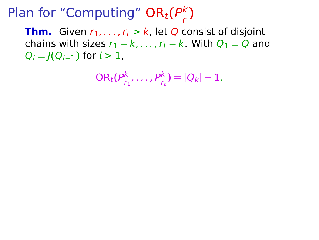**Thm.** Given  $r_1, \ldots, r_t > k$ , let Q consist of disjoint chains with sizes  $r_1 - k$ , ...,  $r_t - k$ . With  $Q_1 = Q$  and  $Q_i = I(Q_{i-1})$  for  $i > 1$ ,

$$
OR_t(P_{r_1}^k, ..., P_{r_t}^k) = |Q_k| + 1.
$$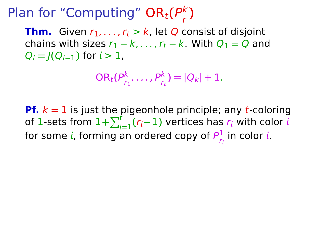**Thm.** Given  $r_1, \ldots, r_t > k$ , let Q consist of disjoint chains with sizes  $r_1 - k$ , ...,  $r_t - k$ . With  $Q_1 = Q$  and  $Q_i = I(Q_{i-1})$  for  $i > 1$ ,

$$
OR_t(P_{r_1}^k, ..., P_{r_t}^k) = |Q_k| + 1.
$$

**Pf.** k **=** 1 is just the pigeonhole principle; any t-coloring of 1-sets from  $1+\sum_{i=1}^{t}(r_i-1)$  vertices has  $r_i$  with color  $t$ for some i, forming an ordered copy of  $P^1_{\varepsilon}$  $\frac{1}{r_i}$  in color *i*.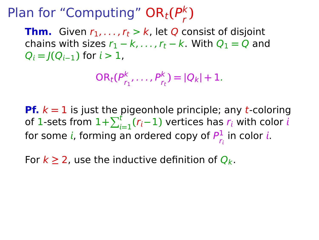**Thm.** Given  $r_1, \ldots, r_t > k$ , let Q consist of disjoint chains with sizes  $r_1 - k$ , ...,  $r_t - k$ . With  $Q_1 = Q$  and  $Q_i = I(Q_{i-1})$  for  $i > 1$ ,

$$
OR_t(P_{r_1}^k, ..., P_{r_t}^k) = |Q_k| + 1.
$$

**Pf.** k **=** 1 is just the pigeonhole principle; any t-coloring of 1-sets from  $1+\sum_{i=1}^{t}(r_i-1)$  vertices has  $r_i$  with color  $t$ for some i, forming an ordered copy of  $P^1_{\varepsilon}$  $\frac{1}{r_i}$  in color *i*.

For  $k \geq 2$ , use the inductive definition of  $Q_k$ .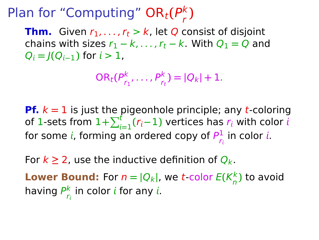**Thm.** Given  $r_1, \ldots, r_t > k$ , let Q consist of disjoint chains with sizes  $r_1 - k$ , ...,  $r_t - k$ . With  $Q_1 = Q$  and  $Q_i = I(Q_{i-1})$  for  $i > 1$ ,

$$
OR_t(P_{r_1}^k, ..., P_{r_t}^k) = |Q_k| + 1.
$$

**Pf.** k **=** 1 is just the pigeonhole principle; any t-coloring of 1-sets from  $1+\sum_{i=1}^{t}(r_i-1)$  vertices has  $r_i$  with color  $t$ for some i, forming an ordered copy of  $P^1_{\varepsilon}$  $\frac{1}{r_i}$  in color *i*.

For  $k \geq 2$ , use the inductive definition of  $Q_k$ .

**Lower Bound:** For  $n = |Q_k|$ , we *t*-color  $E(K_n^k)$  $\binom{k}{n}$  to avoid having  $P^k_{\kappa}$  $\frac{k}{r_i}$  in color  $i$  for any  $i$ .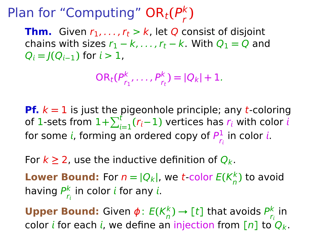**Thm.** Given  $r_1, \ldots, r_t > k$ , let Q consist of disjoint chains with sizes  $r_1 - k$ , ...,  $r_t - k$ . With  $Q_1 = Q$  and  $Q_i = I(Q_{i-1})$  for  $i > 1$ ,

$$
OR_t(P_{r_1}^k, ..., P_{r_t}^k) = |Q_k| + 1.
$$

**Pf.** k **=** 1 is just the pigeonhole principle; any t-coloring of 1-sets from  $1+\sum_{i=1}^{t}(r_i-1)$  vertices has  $r_i$  with color  $t$ for some i, forming an ordered copy of  $P^1_{\varepsilon}$  $\frac{1}{r_i}$  in color *i*.

For  $k \geq 2$ , use the inductive definition of  $Q_k$ .

**Lower Bound:** For  $n = |Q_k|$ , we *t*-color  $E(K_n^k)$  $\binom{k}{n}$  to avoid having  $P^k_{\kappa}$  $\frac{k}{r_i}$  in color  $i$  for any  $i$ .

**Upper Bound:** Given *φ*: *E*(*K*<sup>k</sup><sub>ρ</sub>  $\binom{k}{n}$   $\rightarrow$   $\left[\begin{smallmatrix} t \end{smallmatrix}\right]$  that avoids  $\frac{P^k}{P_n}$  $\frac{\kappa}{r_i}$  in color *i* for each *i*, we define an injection from  $\lceil n \rceil$  to  $Q_k$ .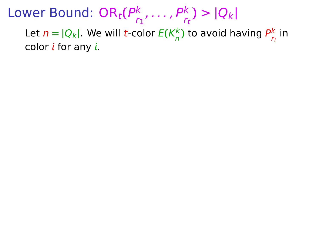Lower Bound:  $\mathsf{OR}_t(P_r^k)$  $r_1^{k}, \ldots, P_{r_t}^{k}$ ) >  $|Q_k|$ 

Let  $n = |Q_k|$ . We will *t*-color  $E(K_n^k)$  $\frac{k}{n}$ ) to avoid having  $P_{r_i}^k$  $\frac{\kappa}{r_i}$  in color  $i$  for any  $i$ .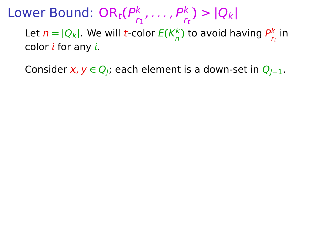Lower Bound:  $\mathsf{OR}_t(P_r^k)$  $r_1^{k}, \ldots, P_{r_t}^{k}$ ) >  $|Q_k|$ 

Let  $n = |Q_k|$ . We will *t*-color  $E(K_n^k)$  $\frac{k}{n}$ ) to avoid having  $P_{r_i}^k$  $\frac{\kappa}{r_i}$  in color  $i$  for any  $i$ .

Consider x, y ∈ Q<sub>i</sub>; each element is a down-set in Q<sub>i−1</sub>.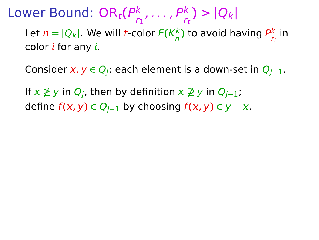Consider x, y ∈ Q<sub>i</sub>; each element is a down-set in Q<sub>i−1</sub>.

If **6≥** y in Qj, then by definition **6⊇** y in Qj**−**1;  $\text{define } f(x, y) \in Q_{i-1}$  by choosing  $f(x, y) \in y - x$ .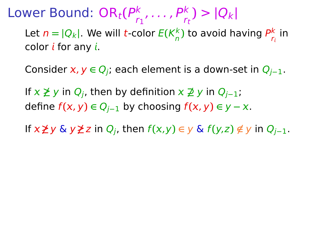Consider x, y ∈ Q<sub>i</sub>; each element is a down-set in Q<sub>i−1</sub>.

If **6≥** y in Qj, then by definition **6⊇** y in Qj**−**1; define  $f(x, y) \in Q_{i-1}$  by choosing  $f(x, y) \in y - x$ .

If  $x \not\geq y$  &  $y \not\geq z$  in  $Q_i$ , then  $f(x,y) \in y$  &  $f(y,z) \notin y$  in  $Q_{i-1}$ .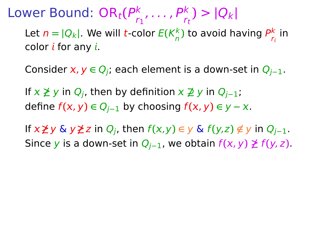Consider x, y ∈ Q<sub>i</sub>; each element is a down-set in Q<sub>i−1</sub>.

If **6≥** y in Qj, then by definition **6⊇** y in Qj**−**1;  $\text{define } f(x, y) \in Q_{i-1}$  by choosing  $f(x, y) \in y - x$ .

If  $x \ngeq y \triangleq y \ngeq z$  in  $Q_i$ , then  $f(x,y) \in y \triangleleft f(y,z) \notin y$  in  $Q_{i-1}$ . Since y is a down-set in  $Q_{i-1}$ , we obtain  $f(x, y) ≥ f(y, z)$ .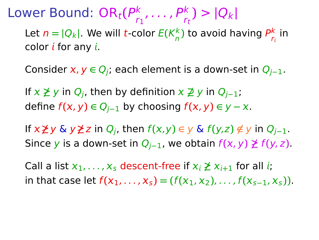Consider x, y ∈ Q<sub>i</sub>; each element is a down-set in Q<sub>i−1</sub>.

If **6≥** y in Qj, then by definition **6⊇** y in Qj**−**1;  $\text{define } f(x, y) \in Q_{i-1}$  by choosing  $f(x, y) \in y - x$ .

If  $x \ngeq y \triangleq y \ngeq z$  in  $Q_i$ , then  $f(x,y) \in y \triangleleft f(y,z) \notin y$  in  $Q_{i-1}$ . Since y is a down-set in  $Q_{i-1}$ , we obtain  $f(x, y) ≥ f(y, z)$ .

Call a list  $x_1, \ldots, x_s$  descent-free if  $x_i \not\geq x_{i+1}$  for all *i*;  $\text{int that case let } f(x_1, \ldots, x_s) = (f(x_1, x_2), \ldots, f(x_{s-1}, x_s)).$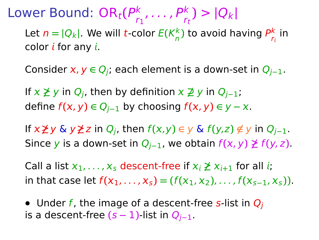Consider x, y ∈ Q<sub>i</sub>; each element is a down-set in Q<sub>i−1</sub>.

If **6≥** y in Qj, then by definition **6⊇** y in Qj**−**1; define  $f(x, y) \in Q_{i-1}$  by choosing  $f(x, y) \in y - x$ .

If  $x \not\geq y$  &  $y \not\geq z$  in  $Q_i$ , then  $f(x,y) \in y$  &  $f(y,z) \notin y$  in  $Q_{i-1}$ . Since y is a down-set in  $Q_{i-1}$ , we obtain  $f(x, y) ≥ f(y, z)$ .

Call a list  $x_1, \ldots, x_s$  descent-free if  $x_i \not\geq x_{i+1}$  for all *i*;  $\text{int that case let } f(x_1, \ldots, x_s) = (f(x_1, x_2), \ldots, f(x_{s-1}, x_s)).$ 

• Under f, the image of a descent-free s-list in  $Q_i$ is a descent-free  $(s − 1)$ -list in  $Q_{i-1}$ .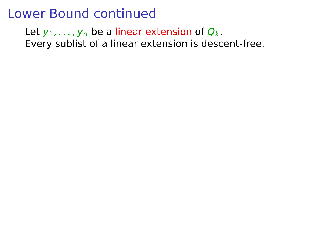Let  $y_1, \ldots, y_n$  be a linear extension of  $Q_k$ . Every sublist of a linear extension is descent-free.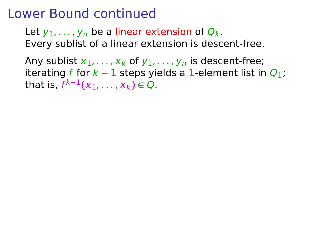Let  $y_1, \ldots, y_n$  be a linear extension of  $Q_k$ . Every sublist of a linear extension is descent-free.

Any sublist  $x_1, \ldots, x_k$  of  $y_1, \ldots, y_n$  is descent-free; iterating f for  $k - 1$  steps yields a 1-element list in  $Q_1$ ; **that is,**  $f^{k-1}(x_1, ..., x_k)$  **∈** Q.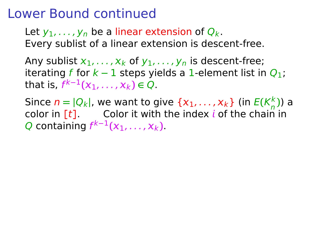Let  $y_1, \ldots, y_n$  be a linear extension of  $Q_k$ . Every sublist of a linear extension is descent-free.

Any sublist  $x_1, \ldots, x_k$  of  $y_1, \ldots, y_n$  is descent-free; iterating f for  $k - 1$  steps yields a 1-element list in  $Q_1$ ; **that is,**  $f^{k-1}(x_1, ..., x_k)$  **∈** Q.

Since  $n = |Q_k|$ , we want to give  $\{x_1, \ldots, x_k\}$  (in  $E(K_n^k)$ ) a color in  $[t]$ . Color it with the index *i* of the chain in Q containing  $f^{k-1}(x_1, \ldots, x_k)$ .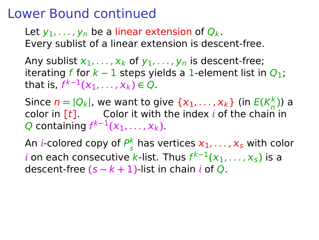Let  $y_1, \ldots, y_n$  be a linear extension of  $Q_k$ . Every sublist of a linear extension is descent-free.

Any sublist  $x_1, \ldots, x_k$  of  $y_1, \ldots, y_n$  is descent-free; iterating f for  $k - 1$  steps yields a 1-element list in  $Q_1$ ; **that is,**  $f^{k-1}(x_1, ..., x_k)$  **∈** Q.

Since  $n = |Q_k|$ , we want to give  $\{x_1, \ldots, x_k\}$  (in  $E(K_n^k)$ ) a color in  $[t]$ . Color it with the index *i* of the chain in Q containing  $f^{k-1}(x_1, \ldots, x_k)$ .

An *i*-colored copy of  $P_{\varepsilon}^k$  $\frac{k}{s}$  has vertices  $x_1, \ldots, x_s$  with color  $i$  on each consecutive k-list. Thus  $f^{k-1}(x_1, \ldots, x_s)$  is a descent-free  $(s - k + 1)$ -list in chain *i* of Q.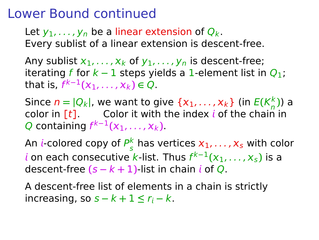Let  $y_1, \ldots, y_n$  be a linear extension of  $Q_k$ . Every sublist of a linear extension is descent-free.

Any sublist  $x_1, \ldots, x_k$  of  $y_1, \ldots, y_n$  is descent-free; iterating f for  $k - 1$  steps yields a 1-element list in  $Q_1$ ; **that is,**  $f^{k-1}(x_1, ..., x_k)$  **∈** Q.

Since  $n = |Q_k|$ , we want to give  $\{x_1, \ldots, x_k\}$  (in  $E(K_n^k)$ ) a color in  $[t]$ . Color it with the index *i* of the chain in Q containing  $f^{k-1}(x_1, \ldots, x_k)$ .

An *i*-colored copy of  $P_{\varepsilon}^k$  $\frac{k}{s}$  has vertices  $x_1, \ldots, x_s$  with color  $i$  on each consecutive k-list. Thus  $f^{k-1}(x_1, \ldots, x_s)$  is a descent-free  $(s - k + 1)$ -list in chain *i* of Q.

A descent-free list of elements in a chain is strictly  $i$ ncreasing, so  $s - k + 1 \le r_i - k$ .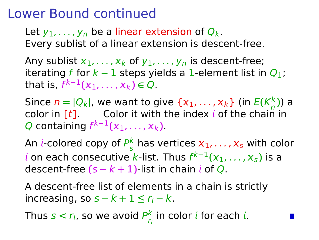Let  $y_1, \ldots, y_n$  be a linear extension of  $Q_k$ . Every sublist of a linear extension is descent-free.

Any sublist  $x_1, \ldots, x_k$  of  $y_1, \ldots, y_n$  is descent-free; iterating f for  $k - 1$  steps yields a 1-element list in  $Q_1$ ; **that is,**  $f^{k-1}(x_1, ..., x_k)$  **∈** Q.

Since  $n = |Q_k|$ , we want to give  $\{x_1, \ldots, x_k\}$  (in  $E(K_n^k)$ ) a color in  $[t]$ . Color it with the index *i* of the chain in Q containing  $f^{k-1}(x_1, \ldots, x_k)$ .

An *i*-colored copy of  $P_{\varepsilon}^k$  $\frac{k}{s}$  has vertices  $x_1, \ldots, x_s$  with color  $i$  on each consecutive k-list. Thus  $f^{k-1}(x_1, \ldots, x_s)$  is a descent-free  $(s - k + 1)$ -list in chain *i* of Q.

A descent-free list of elements in a chain is strictly  $i$ ncreasing, so  $s - k + 1 \le r_i - k$ .

Thus  $s < r_i$ , so we avoid  $P_r^k$  $\frac{k}{r_i}$  in color  $i$  for each  $i$ .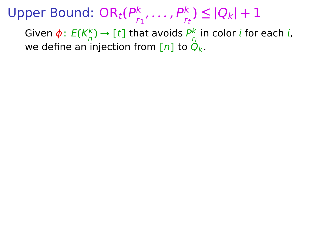Upper Bound: OR<sub>t</sub>(P<sub>r</sub>  $\binom{k}{r_1}, \ldots, \binom{p_k}{r_t} \leq |Q_k| + 1$ 

Given ϕ: E**(**K k  $\binom{k}{n}$   $\rightarrow$  [t] that avoids  $P_{r_i}^k$  in color *i* for each *i*, we define an injection from  $[n]$  to  $Q_k$ .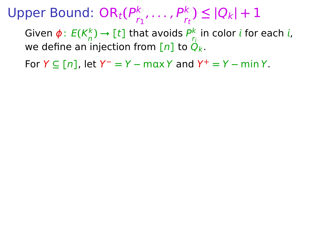Upper Bound: OR<sub>t</sub>(P<sub>r</sub>  $\binom{k}{r_1}, \ldots, \binom{p_k}{r_t} \leq |Q_k| + 1$ 

Given ϕ: E**(**K k  $\binom{k}{n}$   $\rightarrow$  [t] that avoids  $P_{r_i}^k$  in color *i* for each *i*, we define an injection from  $[n]$  to  $Q_k$ .

 $\text{For } Y \subseteq [n]$ , let  $Y^- = Y - \max Y$  and  $Y^+ = Y - \min Y$ .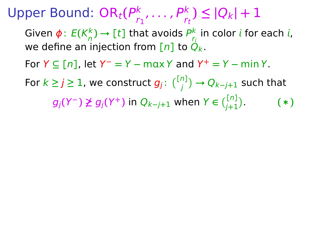Upper Bound: OR<sub>t</sub>(P<sub>r</sub>  $\binom{k}{r_1}, \ldots, \binom{p_k}{r_t} \leq |Q_k| + 1$ Given ϕ: E**(**K k  $\binom{k}{n}$   $\rightarrow$  [t] that avoids  $P_{r_i}^k$  in color *i* for each *i*, we define an injection from  $[n]$  to  $Q_k$ .  $\text{For } Y \subseteq [n]$ , let  $Y^- = Y - \max Y$  and  $Y^+ = Y - \min Y$ . For  $k \geq j \geq 1$ , we construct  $g_j \colon \binom{[n]}{j} \to Q_{k-j+1}$  such that  $g_j(Y^-) \not\geq g_j(Y^+)$  in  $Q_{k-j+1}$  when  $Y \in \binom{[n]}{j+1}$ . **(**∗**)**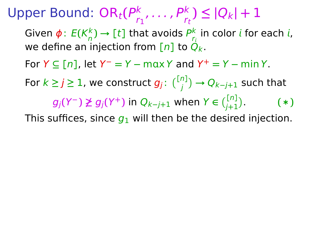Upper Bound: OR<sub>t</sub>(P<sub>r</sub>  $\binom{k}{r_1}, \ldots, \binom{p_k}{r_t} \leq |Q_k| + 1$ Given ϕ: E**(**K k  $\binom{k}{n}$   $\rightarrow$  [t] that avoids  $P_{r_i}^k$  in color *i* for each *i*, we define an injection from  $[n]$  to  $Q_k$ .  $\text{For } Y \subseteq [n]$ , let  $Y^- = Y - \max Y$  and  $Y^+ = Y - \min Y$ . For  $k \geq j \geq 1$ , we construct  $g_j \colon \binom{[n]}{j} \to Q_{k-j+1}$  such that  $g_j(Y^-) \not\geq g_j(Y^+)$  in  $Q_{k-j+1}$  when  $Y \in \binom{[n]}{j+1}$ . **(**∗**)** This suffices, since  $g_1$  will then be the desired injection.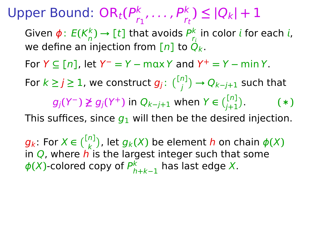Upper Bound: OR<sub>t</sub>(P<sub>r</sub>  $\binom{k}{r_1}, \ldots, \binom{p_k}{r_t} \leq |Q_k| + 1$ Given ϕ: E**(**K k  $\binom{k}{n}$   $\rightarrow$  [t] that avoids  $P_{r_i}^k$  in color *i* for each *i*, we define an injection from  $[n]$  to  $Q_k$ .  $\text{For } Y \subseteq [n]$ , let  $Y^- = Y - \max Y$  and  $Y^+ = Y - \min Y$ . For  $k \geq j \geq 1$ , we construct  $g_j \colon \binom{[n]}{j} \to Q_{k-j+1}$  such that  $g_j(Y^-) \not\geq g_j(Y^+)$  in  $Q_{k-j+1}$  when  $Y \in \binom{[n]}{j+1}$ . **(**∗**)** This suffices, since  $q_1$  will then be the desired injection.

 $g_k$ : For  $X \in \binom{[n]}{k}$ , let  $g_k(X)$  be element h on chain  $\phi(X)$ in  $Q$ , where  $\vec{h}$  is the largest integer such that some  $\phi$ (X)-colored copy of  $P_h^k$ h**+**k**−**1 has last edge X.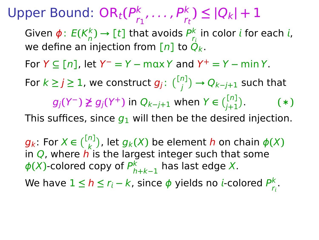Upper Bound: OR<sub>t</sub>(P<sub>r</sub>  $\binom{k}{r_1}, \ldots, \binom{p_k}{r_t} \leq |Q_k| + 1$ Given ϕ: E**(**K k  $\binom{k}{n}$   $\rightarrow$  [t] that avoids  $P_{r_i}^k$  in color *i* for each *i*, we define an injection from  $[n]$  to  $Q_k$ .  $\text{For } Y \subseteq [n]$ , let  $Y^- = Y - \max Y$  and  $Y^+ = Y - \min Y$ . For  $k \geq j \geq 1$ , we construct  $g_j \colon \binom{[n]}{j} \to Q_{k-j+1}$  such that  $g_j(Y^-) \not\geq g_j(Y^+)$  in  $Q_{k-j+1}$  when  $Y \in \binom{[n]}{j+1}$ . **(**∗**)** This suffices, since  $q_1$  will then be the desired injection.

 $g_k$ : For  $X \in \binom{[n]}{k}$ , let  $g_k(X)$  be element h on chain  $\phi(X)$ in  $Q$ , where  $\vec{h}$  is the largest integer such that some  $\phi$ (X)-colored copy of  $P_h^k$ h**+**k**−**1 has last edge X. We have 1 ≤ *h* ≤ *r<sub>i</sub> − k*, since  $\phi$  yields no *i*-colored  $\frac{P^k}{P_k}$ r .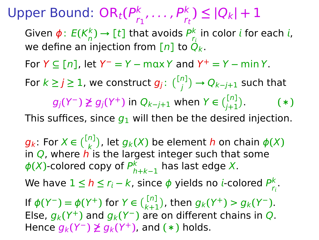Upper Bound: OR<sub>t</sub>(P<sub>r</sub>  $\binom{k}{r_1}, \ldots, \binom{p_k}{r_t} \leq |Q_k| + 1$ Given  $\phi$ :  $E(K_n^k) \rightarrow [t]$  that avoids  $P_{r_i}^k$  in color  $i$  for each  $i$ , we define an injection from  $[n]$  to  $Q_k$ .  $\text{For } Y \subseteq [n]$ , let  $Y^- = Y - \max Y$  and  $Y^+ = Y - \min Y$ . For  $k \geq j \geq 1$ , we construct  $g_j \colon \binom{[n]}{j} \to Q_{k-j+1}$  such that  $g_j(Y^-) \not\geq g_j(Y^+)$  in  $Q_{k-j+1}$  when  $Y \in \binom{[n]}{j+1}$ . **(**∗**)** This suffices, since  $q_1$  will then be the desired injection.

 $g_k$ : For  $X \in \binom{[n]}{k}$ , let  $g_k(X)$  be element h on chain  $\phi(X)$ in  $Q$ , where  $\vec{h}$  is the largest integer such that some  $\phi$ (X)-colored copy of  $P_h^k$ h**+**k**−**1 has last edge X. We have 1 ≤ *h* ≤ *r<sub>i</sub> − k*, since  $\phi$  yields no *i*-colored  $\frac{P^k}{P_k}$ r . If  $\phi(Y^-) = \phi(Y^+)$  for  $Y \in \binom{[n]}{k+1}$ , then  $g_k(Y^+) > g_k(Y^-)$ . Else,  $g_k(Y^+)$  and  $g_k(Y^-)$  are on different chains in Q.  $H$ ence  $g_k(Y^-) \not\geq g_k(Y^+)$ , and  $(*)$  holds.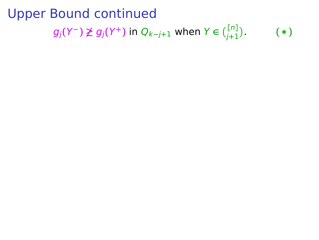#### Upper Bound continued <sup>g</sup>j**(**Y**−) 6≥** <sup>g</sup>j**(**Y**+)** in <sup>Q</sup>k**<sup>−</sup>** j **+** <sup>1</sup> when Y **∈ [** n **]** j **+** 1 . **(** ∗ **)**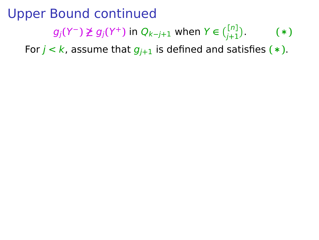### Upper Bound continued  $g_j(Y^-) \not\geq g_j(Y^+)$  in  $Q_{k-j+1}$  when  $Y \in \binom{[n]}{j+1}$ . **(**∗**)**

For  $j < k$ , assume that  $g_{j+1}$  is defined and satisfies  $(*)$ .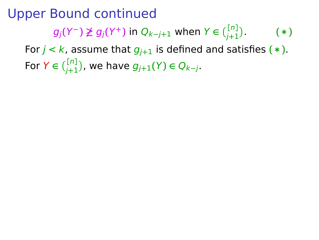### Upper Bound continued  $g_j(Y^-) \not\geq g_j(Y^+)$  in  $Q_{k-j+1}$  when  $Y \in \binom{[n]}{j+1}$ . **(**∗**)** For  $j < k$ , assume that  $g_{j+1}$  is defined and satisfies  $(*)$ . **For Y** ∈  $\binom{[n]}{j+1}$ , we have  $g_{j+1}(Y)$  ∈  $Q_{k-j}$ .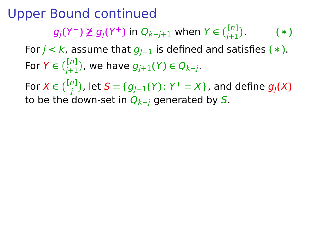### Upper Bound continued  $g_j(Y^-) \not\geq g_j(Y^+)$  in  $Q_{k-j+1}$  when  $Y \in \binom{[n]}{j+1}$ . **(**∗**)** For  $j < k$ , assume that  $g_{j+1}$  is defined and satisfies  $(*)$ .

**For Y** ∈  $\binom{[n]}{j+1}$ , we have  $g_{j+1}(Y)$  ∈  $Q_{k-j}$ .

 $\mathsf{For}\ X\in\tbinom{[n]}{j}$ , let  $\mathsf{S}=\{g_{j+1}(Y)\colon Y^+=X\}$ , and define  $g_j(X)$ to be the down-set in Qk**−**<sup>j</sup> generated by S.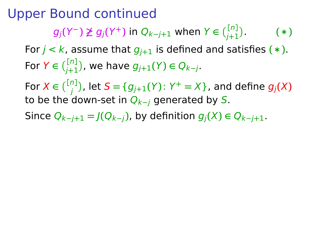$g_j(Y^-) \not\geq g_j(Y^+)$  in  $Q_{k-j+1}$  when  $Y \in \binom{[n]}{j+1}$ . **(**∗**)**

For  $j < k$ , assume that  $g_{j+1}$  is defined and satisfies  $(*)$ . **For Y** ∈  $\binom{[n]}{j+1}$ , we have  $g_{j+1}(Y)$  ∈  $Q_{k-j}$ .

 $\mathsf{For}\ X\in\tbinom{[n]}{j}$ , let  $\mathsf{S}=\{g_{j+1}(Y)\colon Y^+=X\}$ , and define  $g_j(X)$ to be the down-set in Qk**−**<sup>j</sup> generated by S.

Since  $Q_{k-j+1} = J(Q_{k-j})$ , by definition  $g_i(X) \in Q_{k-j+1}$ .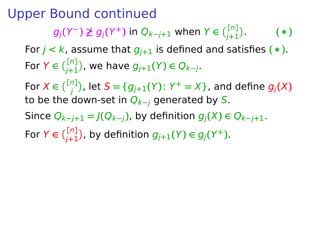$g_j(Y^-) \not\geq g_j(Y^+)$  in  $Q_{k-j+1}$  when  $Y \in \binom{[n]}{j+1}$ . **(**∗**)**

For  $j < k$ , assume that  $g_{j+1}$  is defined and satisfies  $(*)$ . **For Y** ∈  $\binom{[n]}{j+1}$ , we have  $g_{j+1}(Y)$  ∈  $Q_{k-j}$ .

 $\mathsf{For}\ X\in\tbinom{[n]}{j}$ , let  $\mathsf{S}=\{g_{j+1}(Y)\colon Y^+=X\}$ , and define  $g_j(X)$ to be the down-set in Qk**−**<sup>j</sup> generated by S.

Since  $Q_{k-i+1} = J(Q_{k-i})$ , by definition  $g_i(X) \in Q_{k-i+1}$ .

For  $Y \in \binom{[n]}{j+1}$ , by definition  $g_{j+1}(Y) \in g_j(Y^+)$ .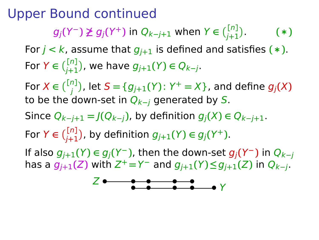$g_j(Y^-) \not\geq g_j(Y^+)$  in  $Q_{k-j+1}$  when  $Y \in \binom{[n]}{j+1}$ . **(**∗**)**

For  $j < k$ , assume that  $g_{j+1}$  is defined and satisfies  $(*)$ . **For Y** ∈  $\binom{[n]}{j+1}$ , we have  $g_{j+1}(Y)$  ∈  $Q_{k-j}$ .

 $\mathsf{For}\ X\in\tbinom{[n]}{j}$ , let  $\mathsf{S}=\{g_{j+1}(Y)\colon Y^+=X\}$ , and define  $g_j(X)$ to be the down-set in Qk**−**<sup>j</sup> generated by S.

Since  $Q_{k-i+1} = J(Q_{k-i})$ , by definition  $g_i(X) \in Q_{k-i+1}$ .

For  $Y \in \binom{[n]}{j+1}$ , by definition  $g_{j+1}(Y) \in g_j(Y^+)$ .

**If also**  $g_{j+1}(Y) \in g_j(Y^-)$ **, then the down-set**  $g_j(Y^-)$  **in**  $Q_{k-j}$  $\log_{1}(\frac{1}{2})$  with  $Z^+ = Y^-$  and  $g_{j+1}(Y) \leq g_{j+1}(Z)$  in  $Q_{k-j}$ .

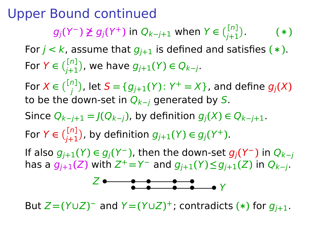$g_j(Y^-) \not\geq g_j(Y^+)$  in  $Q_{k-j+1}$  when  $Y \in \binom{[n]}{j+1}$ . **(**∗**)**

For  $j < k$ , assume that  $g_{j+1}$  is defined and satisfies  $(*)$ . **For Y** ∈  $\binom{[n]}{j+1}$ , we have  $g_{j+1}(Y)$  ∈  $Q_{k-j}$ .

 $\mathsf{For}\ X\in\tbinom{[n]}{j}$ , let  $\mathsf{S}=\{g_{j+1}(Y)\colon Y^+=X\}$ , and define  $g_j(X)$ to be the down-set in Qk**−**<sup>j</sup> generated by S.

Since  $Q_{k-i+1} = J(Q_{k-i})$ , by definition  $g_i(X) \in Q_{k-i+1}$ .

For  $Y \in \binom{[n]}{j+1}$ , by definition  $g_{j+1}(Y) \in g_j(Y^+)$ .

**If also**  $g_{j+1}(Y) \in g_j(Y^-)$ **, then the down-set**  $g_j(Y^-)$  **in**  $Q_{k-j}$  $\log_{1}(\frac{1}{2})$  with  $Z^+ = Y^-$  and  $g_{j+1}(Y) \leq g_{j+1}(Z)$  in  $Q_{k-j}$ .



But  $Z = (Y \cup Z)^{-}$  and  $Y = (Y \cup Z)^{+}$ ; contradicts  $(*)$  for  $g_{j+1}$ .